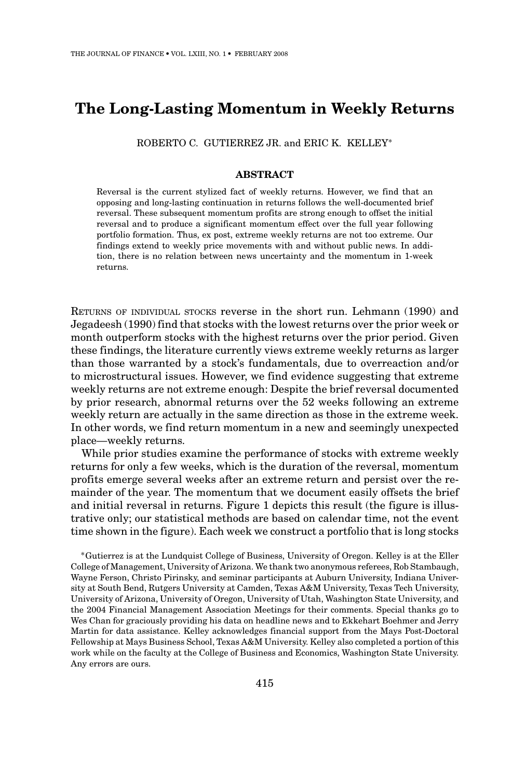# **The Long-Lasting Momentum in Weekly Returns**

ROBERTO C. GUTIERREZ JR. and ERIC K. KELLEY∗

#### **ABSTRACT**

Reversal is the current stylized fact of weekly returns. However, we find that an opposing and long-lasting continuation in returns follows the well-documented brief reversal. These subsequent momentum profits are strong enough to offset the initial reversal and to produce a significant momentum effect over the full year following portfolio formation. Thus, ex post, extreme weekly returns are not too extreme. Our findings extend to weekly price movements with and without public news. In addition, there is no relation between news uncertainty and the momentum in 1-week returns.

RETURNS OF INDIVIDUAL STOCKS reverse in the short run. Lehmann (1990) and Jegadeesh (1990) find that stocks with the lowest returns over the prior week or month outperform stocks with the highest returns over the prior period. Given these findings, the literature currently views extreme weekly returns as larger than those warranted by a stock's fundamentals, due to overreaction and/or to microstructural issues. However, we find evidence suggesting that extreme weekly returns are not extreme enough: Despite the brief reversal documented by prior research, abnormal returns over the 52 weeks following an extreme weekly return are actually in the same direction as those in the extreme week. In other words, we find return momentum in a new and seemingly unexpected place—weekly returns.

While prior studies examine the performance of stocks with extreme weekly returns for only a few weeks, which is the duration of the reversal, momentum profits emerge several weeks after an extreme return and persist over the remainder of the year. The momentum that we document easily offsets the brief and initial reversal in returns. Figure 1 depicts this result (the figure is illustrative only; our statistical methods are based on calendar time, not the event time shown in the figure). Each week we construct a portfolio that is long stocks

∗Gutierrez is at the Lundquist College of Business, University of Oregon. Kelley is at the Eller College of Management, University of Arizona. We thank two anonymous referees, Rob Stambaugh, Wayne Ferson, Christo Pirinsky, and seminar participants at Auburn University, Indiana University at South Bend, Rutgers University at Camden, Texas A&M University, Texas Tech University, University of Arizona, University of Oregon, University of Utah, Washington State University, and the 2004 Financial Management Association Meetings for their comments. Special thanks go to Wes Chan for graciously providing his data on headline news and to Ekkehart Boehmer and Jerry Martin for data assistance. Kelley acknowledges financial support from the Mays Post-Doctoral Fellowship at Mays Business School, Texas A&M University. Kelley also completed a portion of this work while on the faculty at the College of Business and Economics, Washington State University. Any errors are ours.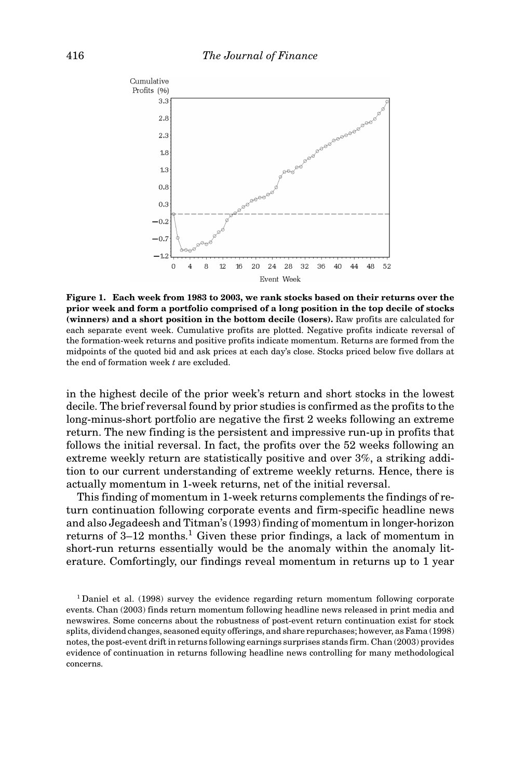

**Figure 1. Each week from 1983 to 2003, we rank stocks based on their returns over the prior week and form a portfolio comprised of a long position in the top decile of stocks (winners) and a short position in the bottom decile (losers).** Raw profits are calculated for each separate event week. Cumulative profits are plotted. Negative profits indicate reversal of the formation-week returns and positive profits indicate momentum. Returns are formed from the midpoints of the quoted bid and ask prices at each day's close. Stocks priced below five dollars at the end of formation week *t* are excluded.

in the highest decile of the prior week's return and short stocks in the lowest decile. The brief reversal found by prior studies is confirmed as the profits to the long-minus-short portfolio are negative the first 2 weeks following an extreme return. The new finding is the persistent and impressive run-up in profits that follows the initial reversal. In fact, the profits over the 52 weeks following an extreme weekly return are statistically positive and over 3%, a striking addition to our current understanding of extreme weekly returns. Hence, there is actually momentum in 1-week returns, net of the initial reversal.

This finding of momentum in 1-week returns complements the findings of return continuation following corporate events and firm-specific headline news and also Jegadeesh and Titman's (1993) finding of momentum in longer-horizon returns of  $3-12$  months.<sup>1</sup> Given these prior findings, a lack of momentum in short-run returns essentially would be the anomaly within the anomaly literature. Comfortingly, our findings reveal momentum in returns up to 1 year

<sup>1</sup> Daniel et al. (1998) survey the evidence regarding return momentum following corporate events. Chan (2003) finds return momentum following headline news released in print media and newswires. Some concerns about the robustness of post-event return continuation exist for stock splits, dividend changes, seasoned equity offerings, and share repurchases; however, as Fama (1998) notes, the post-event drift in returns following earnings surprises stands firm. Chan (2003) provides evidence of continuation in returns following headline news controlling for many methodological concerns.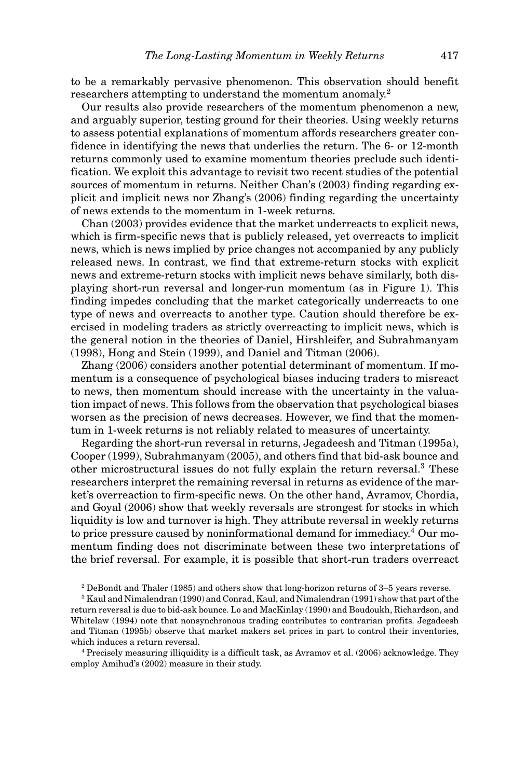to be a remarkably pervasive phenomenon. This observation should benefit researchers attempting to understand the momentum anomaly.<sup>2</sup>

Our results also provide researchers of the momentum phenomenon a new, and arguably superior, testing ground for their theories. Using weekly returns to assess potential explanations of momentum affords researchers greater confidence in identifying the news that underlies the return. The 6- or 12-month returns commonly used to examine momentum theories preclude such identification. We exploit this advantage to revisit two recent studies of the potential sources of momentum in returns. Neither Chan's (2003) finding regarding explicit and implicit news nor Zhang's (2006) finding regarding the uncertainty of news extends to the momentum in 1-week returns.

Chan (2003) provides evidence that the market underreacts to explicit news, which is firm-specific news that is publicly released, yet overreacts to implicit news, which is news implied by price changes not accompanied by any publicly released news. In contrast, we find that extreme-return stocks with explicit news and extreme-return stocks with implicit news behave similarly, both displaying short-run reversal and longer-run momentum (as in Figure 1). This finding impedes concluding that the market categorically underreacts to one type of news and overreacts to another type. Caution should therefore be exercised in modeling traders as strictly overreacting to implicit news, which is the general notion in the theories of Daniel, Hirshleifer, and Subrahmanyam (1998), Hong and Stein (1999), and Daniel and Titman (2006).

Zhang (2006) considers another potential determinant of momentum. If momentum is a consequence of psychological biases inducing traders to misreact to news, then momentum should increase with the uncertainty in the valuation impact of news. This follows from the observation that psychological biases worsen as the precision of news decreases. However, we find that the momentum in 1-week returns is not reliably related to measures of uncertainty.

Regarding the short-run reversal in returns, Jegadeesh and Titman (1995a), Cooper (1999), Subrahmanyam (2005), and others find that bid-ask bounce and other microstructural issues do not fully explain the return reversal.<sup>3</sup> These researchers interpret the remaining reversal in returns as evidence of the market's overreaction to firm-specific news. On the other hand, Avramov, Chordia, and Goyal (2006) show that weekly reversals are strongest for stocks in which liquidity is low and turnover is high. They attribute reversal in weekly returns to price pressure caused by noninformational demand for immediacy.4 Our momentum finding does not discriminate between these two interpretations of the brief reversal. For example, it is possible that short-run traders overreact

<sup>2</sup> DeBondt and Thaler (1985) and others show that long-horizon returns of 3–5 years reverse.

<sup>3</sup> Kaul and Nimalendran (1990) and Conrad, Kaul, and Nimalendran (1991) show that part of the return reversal is due to bid-ask bounce. Lo and MacKinlay (1990) and Boudoukh, Richardson, and Whitelaw (1994) note that nonsynchronous trading contributes to contrarian profits. Jegadeesh and Titman (1995b) observe that market makers set prices in part to control their inventories, which induces a return reversal.

<sup>4</sup> Precisely measuring illiquidity is a difficult task, as Avramov et al. (2006) acknowledge. They employ Amihud's (2002) measure in their study.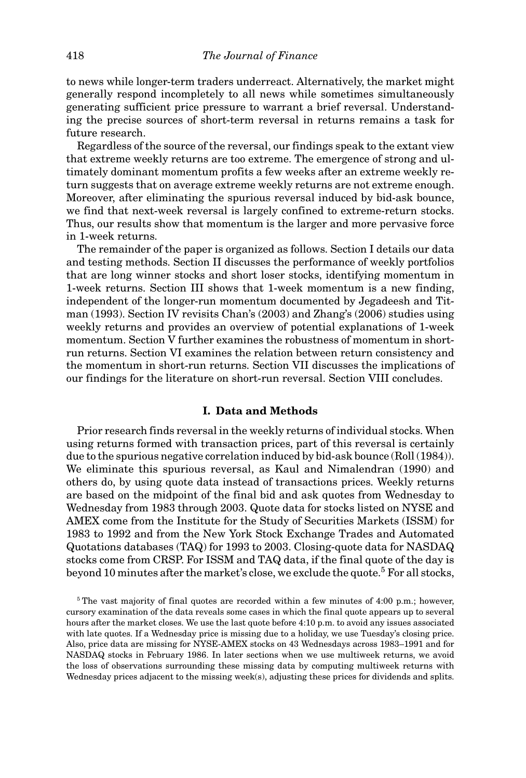to news while longer-term traders underreact. Alternatively, the market might generally respond incompletely to all news while sometimes simultaneously generating sufficient price pressure to warrant a brief reversal. Understanding the precise sources of short-term reversal in returns remains a task for future research.

Regardless of the source of the reversal, our findings speak to the extant view that extreme weekly returns are too extreme. The emergence of strong and ultimately dominant momentum profits a few weeks after an extreme weekly return suggests that on average extreme weekly returns are not extreme enough. Moreover, after eliminating the spurious reversal induced by bid-ask bounce, we find that next-week reversal is largely confined to extreme-return stocks. Thus, our results show that momentum is the larger and more pervasive force in 1-week returns.

The remainder of the paper is organized as follows. Section I details our data and testing methods. Section II discusses the performance of weekly portfolios that are long winner stocks and short loser stocks, identifying momentum in 1-week returns. Section III shows that 1-week momentum is a new finding, independent of the longer-run momentum documented by Jegadeesh and Titman (1993). Section IV revisits Chan's (2003) and Zhang's (2006) studies using weekly returns and provides an overview of potential explanations of 1-week momentum. Section V further examines the robustness of momentum in shortrun returns. Section VI examines the relation between return consistency and the momentum in short-run returns. Section VII discusses the implications of our findings for the literature on short-run reversal. Section VIII concludes.

# **I. Data and Methods**

Prior research finds reversal in the weekly returns of individual stocks. When using returns formed with transaction prices, part of this reversal is certainly due to the spurious negative correlation induced by bid-ask bounce (Roll (1984)). We eliminate this spurious reversal, as Kaul and Nimalendran (1990) and others do, by using quote data instead of transactions prices. Weekly returns are based on the midpoint of the final bid and ask quotes from Wednesday to Wednesday from 1983 through 2003. Quote data for stocks listed on NYSE and AMEX come from the Institute for the Study of Securities Markets (ISSM) for 1983 to 1992 and from the New York Stock Exchange Trades and Automated Quotations databases (TAQ) for 1993 to 2003. Closing-quote data for NASDAQ stocks come from CRSP. For ISSM and TAQ data, if the final quote of the day is beyond 10 minutes after the market's close, we exclude the quote.<sup>5</sup> For all stocks,

 $5$  The vast majority of final quotes are recorded within a few minutes of 4:00 p.m.; however, cursory examination of the data reveals some cases in which the final quote appears up to several hours after the market closes. We use the last quote before 4:10 p.m. to avoid any issues associated with late quotes. If a Wednesday price is missing due to a holiday, we use Tuesday's closing price. Also, price data are missing for NYSE-AMEX stocks on 43 Wednesdays across 1983–1991 and for NASDAQ stocks in February 1986. In later sections when we use multiweek returns, we avoid the loss of observations surrounding these missing data by computing multiweek returns with Wednesday prices adjacent to the missing week(s), adjusting these prices for dividends and splits.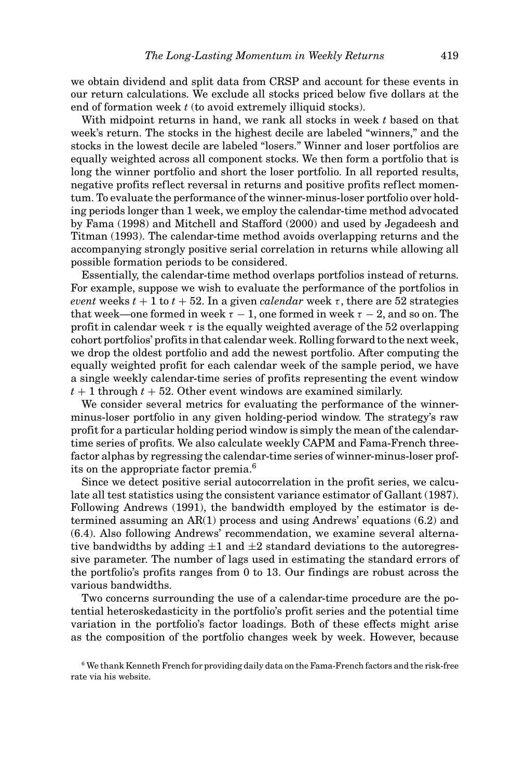we obtain dividend and split data from CRSP and account for these events in our return calculations. We exclude all stocks priced below five dollars at the end of formation week *t* (to avoid extremely illiquid stocks).

With midpoint returns in hand, we rank all stocks in week *t* based on that week's return. The stocks in the highest decile are labeled "winners," and the stocks in the lowest decile are labeled "losers." Winner and loser portfolios are equally weighted across all component stocks. We then form a portfolio that is long the winner portfolio and short the loser portfolio. In all reported results, negative profits reflect reversal in returns and positive profits reflect momentum. To evaluate the performance of the winner-minus-loser portfolio over holding periods longer than 1 week, we employ the calendar-time method advocated by Fama (1998) and Mitchell and Stafford (2000) and used by Jegadeesh and Titman (1993). The calendar-time method avoids overlapping returns and the accompanying strongly positive serial correlation in returns while allowing all possible formation periods to be considered.

Essentially, the calendar-time method overlaps portfolios instead of returns. For example, suppose we wish to evaluate the performance of the portfolios in *event* weeks  $t + 1$  to  $t + 52$ . In a given *calendar* week  $\tau$ , there are 52 strategies that week—one formed in week  $\tau - 1$ , one formed in week  $\tau - 2$ , and so on. The profit in calendar week  $\tau$  is the equally weighted average of the 52 overlapping cohort portfolios' profits in that calendar week. Rolling forward to the next week, we drop the oldest portfolio and add the newest portfolio. After computing the equally weighted profit for each calendar week of the sample period, we have a single weekly calendar-time series of profits representing the event window  $t + 1$  through  $t + 52$ . Other event windows are examined similarly.

We consider several metrics for evaluating the performance of the winnerminus-loser portfolio in any given holding-period window. The strategy's raw profit for a particular holding period window is simply the mean of the calendartime series of profits. We also calculate weekly CAPM and Fama-French threefactor alphas by regressing the calendar-time series of winner-minus-loser profits on the appropriate factor premia.<sup>6</sup>

Since we detect positive serial autocorrelation in the profit series, we calculate all test statistics using the consistent variance estimator of Gallant (1987). Following Andrews (1991), the bandwidth employed by the estimator is determined assuming an  $AR(1)$  process and using Andrews' equations (6.2) and (6.4). Also following Andrews' recommendation, we examine several alternative bandwidths by adding  $\pm 1$  and  $\pm 2$  standard deviations to the autoregressive parameter. The number of lags used in estimating the standard errors of the portfolio's profits ranges from 0 to 13. Our findings are robust across the various bandwidths.

Two concerns surrounding the use of a calendar-time procedure are the potential heteroskedasticity in the portfolio's profit series and the potential time variation in the portfolio's factor loadings. Both of these effects might arise as the composition of the portfolio changes week by week. However, because

<sup>6</sup> We thank Kenneth French for providing daily data on the Fama-French factors and the risk-free rate via his website.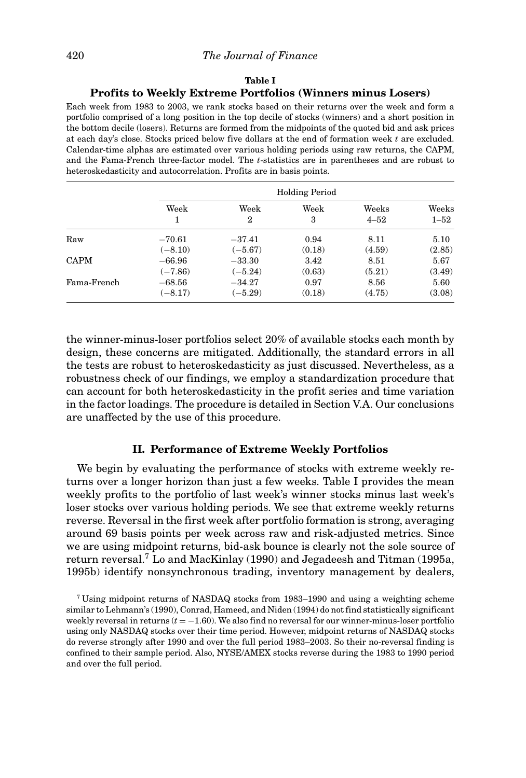## **Table I Profits to Weekly Extreme Portfolios (Winners minus Losers)**

Each week from 1983 to 2003, we rank stocks based on their returns over the week and form a portfolio comprised of a long position in the top decile of stocks (winners) and a short position in the bottom decile (losers). Returns are formed from the midpoints of the quoted bid and ask prices at each day's close. Stocks priced below five dollars at the end of formation week *t* are excluded. Calendar-time alphas are estimated over various holding periods using raw returns, the CAPM, and the Fama-French three-factor model. The *t*-statistics are in parentheses and are robust to heteroskedasticity and autocorrelation. Profits are in basis points.

|             |                       | <b>Holding Period</b> |                |                   |                   |
|-------------|-----------------------|-----------------------|----------------|-------------------|-------------------|
|             | Week                  | Week<br>2             | Week<br>3      | Weeks<br>$4 - 52$ | Weeks<br>$1 - 52$ |
| Raw         | $-70.61$              | $-37.41$              | 0.94           | 8.11              | 5.10              |
| <b>CAPM</b> | $(-8.10)$<br>$-66.96$ | $(-5.67)$<br>$-33.30$ | (0.18)<br>3.42 | (4.59)<br>8.51    | (2.85)<br>5.67    |
|             | $(-7.86)$             | $(-5.24)$             | (0.63)         | (5.21)            | (3.49)            |
| Fama-French | $-68.56$              | $-34.27$              | 0.97           | 8.56              | 5.60              |
|             | $(-8.17)$             | $(-5.29)$             | (0.18)         | (4.75)            | (3.08)            |

the winner-minus-loser portfolios select 20% of available stocks each month by design, these concerns are mitigated. Additionally, the standard errors in all the tests are robust to heteroskedasticity as just discussed. Nevertheless, as a robustness check of our findings, we employ a standardization procedure that can account for both heteroskedasticity in the profit series and time variation in the factor loadings. The procedure is detailed in Section V.A. Our conclusions are unaffected by the use of this procedure.

## **II. Performance of Extreme Weekly Portfolios**

We begin by evaluating the performance of stocks with extreme weekly returns over a longer horizon than just a few weeks. Table I provides the mean weekly profits to the portfolio of last week's winner stocks minus last week's loser stocks over various holding periods. We see that extreme weekly returns reverse. Reversal in the first week after portfolio formation is strong, averaging around 69 basis points per week across raw and risk-adjusted metrics. Since we are using midpoint returns, bid-ask bounce is clearly not the sole source of return reversal.<sup>7</sup> Lo and MacKinlay (1990) and Jegadeesh and Titman (1995a, 1995b) identify nonsynchronous trading, inventory management by dealers,

<sup>7</sup> Using midpoint returns of NASDAQ stocks from 1983–1990 and using a weighting scheme similar to Lehmann's (1990), Conrad, Hameed, and Niden (1994) do not find statistically significant weekly reversal in returns  $(t = -1.60)$ . We also find no reversal for our winner-minus-loser portfolio using only NASDAQ stocks over their time period. However, midpoint returns of NASDAQ stocks do reverse strongly after 1990 and over the full period 1983–2003. So their no-reversal finding is confined to their sample period. Also, NYSE/AMEX stocks reverse during the 1983 to 1990 period and over the full period.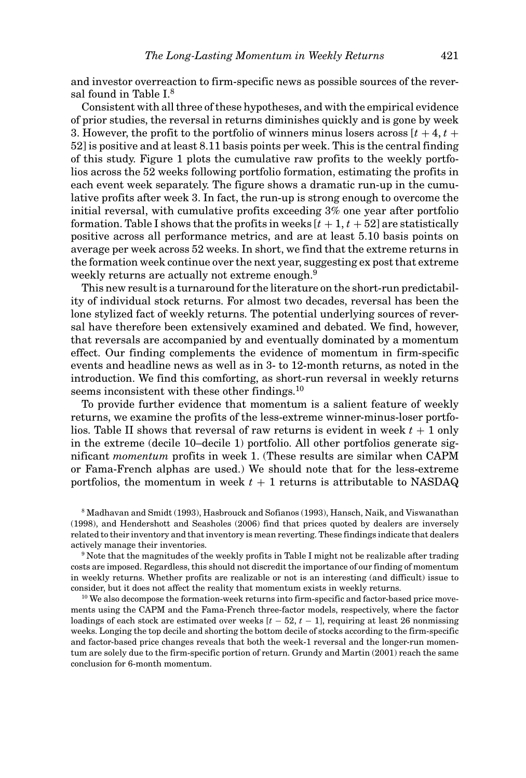and investor overreaction to firm-specific news as possible sources of the reversal found in Table I.<sup>8</sup>

Consistent with all three of these hypotheses, and with the empirical evidence of prior studies, the reversal in returns diminishes quickly and is gone by week 3. However, the profit to the portfolio of winners minus losers across [*t* + 4, *t* + 52] is positive and at least 8.11 basis points per week. This is the central finding of this study. Figure 1 plots the cumulative raw profits to the weekly portfolios across the 52 weeks following portfolio formation, estimating the profits in each event week separately. The figure shows a dramatic run-up in the cumulative profits after week 3. In fact, the run-up is strong enough to overcome the initial reversal, with cumulative profits exceeding 3% one year after portfolio formation. Table I shows that the profits in weeks  $[t + 1, t + 52]$  are statistically positive across all performance metrics, and are at least 5.10 basis points on average per week across 52 weeks. In short, we find that the extreme returns in the formation week continue over the next year, suggesting ex post that extreme weekly returns are actually not extreme enough.<sup>9</sup>

This new result is a turnaround for the literature on the short-run predictability of individual stock returns. For almost two decades, reversal has been the lone stylized fact of weekly returns. The potential underlying sources of reversal have therefore been extensively examined and debated. We find, however, that reversals are accompanied by and eventually dominated by a momentum effect. Our finding complements the evidence of momentum in firm-specific events and headline news as well as in 3- to 12-month returns, as noted in the introduction. We find this comforting, as short-run reversal in weekly returns seems inconsistent with these other findings.<sup>10</sup>

To provide further evidence that momentum is a salient feature of weekly returns, we examine the profits of the less-extreme winner-minus-loser portfolios. Table II shows that reversal of raw returns is evident in week  $t + 1$  only in the extreme (decile 10–decile 1) portfolio. All other portfolios generate significant *momentum* profits in week 1. (These results are similar when CAPM or Fama-French alphas are used.) We should note that for the less-extreme portfolios, the momentum in week  $t + 1$  returns is attributable to NASDAQ

<sup>8</sup> Madhavan and Smidt (1993), Hasbrouck and Sofianos (1993), Hansch, Naik, and Viswanathan (1998), and Hendershott and Seasholes (2006) find that prices quoted by dealers are inversely related to their inventory and that inventory is mean reverting. These findings indicate that dealers actively manage their inventories.

<sup>9</sup> Note that the magnitudes of the weekly profits in Table I might not be realizable after trading costs are imposed. Regardless, this should not discredit the importance of our finding of momentum in weekly returns. Whether profits are realizable or not is an interesting (and difficult) issue to consider, but it does not affect the reality that momentum exists in weekly returns.

 $10$  We also decompose the formation-week returns into firm-specific and factor-based price movements using the CAPM and the Fama-French three-factor models, respectively, where the factor loadings of each stock are estimated over weeks [*t* − 52, *t* − 1], requiring at least 26 nonmissing weeks. Longing the top decile and shorting the bottom decile of stocks according to the firm-specific and factor-based price changes reveals that both the week-1 reversal and the longer-run momentum are solely due to the firm-specific portion of return. Grundy and Martin (2001) reach the same conclusion for 6-month momentum.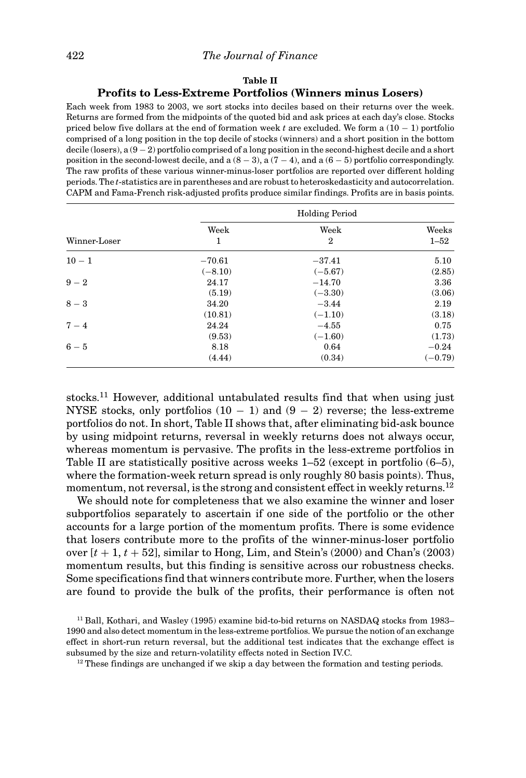#### **Table II Profits to Less-Extreme Portfolios (Winners minus Losers)**

Each week from 1983 to 2003, we sort stocks into deciles based on their returns over the week. Returns are formed from the midpoints of the quoted bid and ask prices at each day's close. Stocks priced below five dollars at the end of formation week *t* are excluded. We form a (10 − 1) portfolio comprised of a long position in the top decile of stocks (winners) and a short position in the bottom decile (losers), a (9 − 2) portfolio comprised of a long position in the second-highest decile and a short position in the second-lowest decile, and a  $(8-3)$ , a  $(7-4)$ , and a  $(6-5)$  portfolio correspondingly. The raw profits of these various winner-minus-loser portfolios are reported over different holding periods. The *t*-statistics are in parentheses and are robust to heteroskedasticity and autocorrelation. CAPM and Fama-French risk-adjusted profits produce similar findings. Profits are in basis points.

|              | <b>Holding Period</b> |                        |                   |  |
|--------------|-----------------------|------------------------|-------------------|--|
| Winner-Loser | Week<br>1             | Week<br>$\overline{2}$ | Weeks<br>$1 - 52$ |  |
| $10 - 1$     | $-70.61$              | $-37.41$               | 5.10              |  |
|              | $(-8.10)$             | $(-5.67)$              | (2.85)            |  |
| $9-2$        | 24.17                 | $-14.70$               | 3.36              |  |
|              | (5.19)                | $(-3.30)$              | (3.06)            |  |
| $8-3$        | 34.20                 | $-3.44$                | 2.19              |  |
|              | (10.81)               | $(-1.10)$              | (3.18)            |  |
| $7 - 4$      | 24.24                 | $-4.55$                | 0.75              |  |
|              | (9.53)                | $(-1.60)$              | (1.73)            |  |
| $6-5$        | 8.18                  | 0.64                   | $-0.24$           |  |
|              | (4.44)                | (0.34)                 | $(-0.79)$         |  |

stocks.<sup>11</sup> However, additional untabulated results find that when using just NYSE stocks, only portfolios  $(10 - 1)$  and  $(9 - 2)$  reverse; the less-extreme portfolios do not. In short, Table II shows that, after eliminating bid-ask bounce by using midpoint returns, reversal in weekly returns does not always occur, whereas momentum is pervasive. The profits in the less-extreme portfolios in Table II are statistically positive across weeks  $1-52$  (except in portfolio  $(6-5)$ , where the formation-week return spread is only roughly 80 basis points). Thus, momentum, not reversal, is the strong and consistent effect in weekly returns.<sup>12</sup>

We should note for completeness that we also examine the winner and loser subportfolios separately to ascertain if one side of the portfolio or the other accounts for a large portion of the momentum profits. There is some evidence that losers contribute more to the profits of the winner-minus-loser portfolio over  $[t + 1, t + 52]$ , similar to Hong, Lim, and Stein's (2000) and Chan's (2003) momentum results, but this finding is sensitive across our robustness checks. Some specifications find that winners contribute more. Further, when the losers are found to provide the bulk of the profits, their performance is often not

 $11$  Ball, Kothari, and Wasley (1995) examine bid-to-bid returns on NASDAQ stocks from 1983– 1990 and also detect momentum in the less-extreme portfolios. We pursue the notion of an exchange effect in short-run return reversal, but the additional test indicates that the exchange effect is subsumed by the size and return-volatility effects noted in Section IV.C.

 $12$  These findings are unchanged if we skip a day between the formation and testing periods.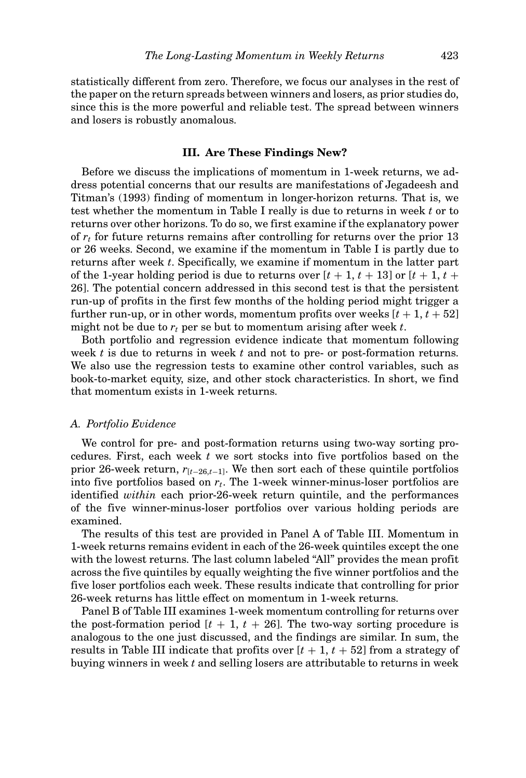statistically different from zero. Therefore, we focus our analyses in the rest of the paper on the return spreads between winners and losers, as prior studies do, since this is the more powerful and reliable test. The spread between winners and losers is robustly anomalous.

#### **III. Are These Findings New?**

Before we discuss the implications of momentum in 1-week returns, we address potential concerns that our results are manifestations of Jegadeesh and Titman's (1993) finding of momentum in longer-horizon returns. That is, we test whether the momentum in Table I really is due to returns in week *t* or to returns over other horizons. To do so, we first examine if the explanatory power of *rt* for future returns remains after controlling for returns over the prior 13 or 26 weeks. Second, we examine if the momentum in Table I is partly due to returns after week *t*. Specifically, we examine if momentum in the latter part of the 1-year holding period is due to returns over  $[t + 1, t + 13]$  or  $[t + 1, t +$ 26]. The potential concern addressed in this second test is that the persistent run-up of profits in the first few months of the holding period might trigger a further run-up, or in other words, momentum profits over weeks  $[t + 1, t + 52]$ might not be due to *rt* per se but to momentum arising after week *t*.

Both portfolio and regression evidence indicate that momentum following week *t* is due to returns in week *t* and not to pre- or post-formation returns. We also use the regression tests to examine other control variables, such as book-to-market equity, size, and other stock characteristics. In short, we find that momentum exists in 1-week returns.

#### *A. Portfolio Evidence*

We control for pre- and post-formation returns using two-way sorting procedures. First, each week *t* we sort stocks into five portfolios based on the prior 26-week return,  $r_{[t-26,t-1]}$ . We then sort each of these quintile portfolios into five portfolios based on  $r_t$ . The 1-week winner-minus-loser portfolios are identified *within* each prior-26-week return quintile, and the performances of the five winner-minus-loser portfolios over various holding periods are examined.

The results of this test are provided in Panel A of Table III. Momentum in 1-week returns remains evident in each of the 26-week quintiles except the one with the lowest returns. The last column labeled "All" provides the mean profit across the five quintiles by equally weighting the five winner portfolios and the five loser portfolios each week. These results indicate that controlling for prior 26-week returns has little effect on momentum in 1-week returns.

Panel B of Table III examines 1-week momentum controlling for returns over the post-formation period  $[t + 1, t + 26]$ . The two-way sorting procedure is analogous to the one just discussed, and the findings are similar. In sum, the results in Table III indicate that profits over  $[t + 1, t + 52]$  from a strategy of buying winners in week *t* and selling losers are attributable to returns in week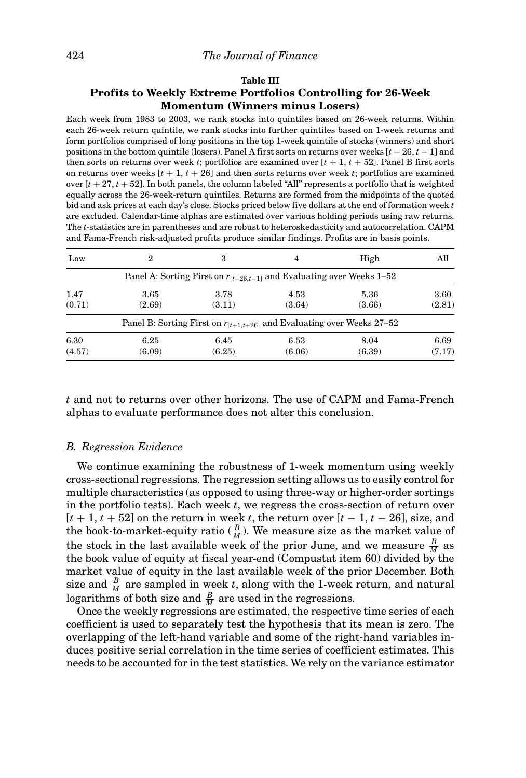# **Table III Profits to Weekly Extreme Portfolios Controlling for 26-Week Momentum (Winners minus Losers)**

Each week from 1983 to 2003, we rank stocks into quintiles based on 26-week returns. Within each 26-week return quintile, we rank stocks into further quintiles based on 1-week returns and form portfolios comprised of long positions in the top 1-week quintile of stocks (winners) and short positions in the bottom quintile (losers). Panel A first sorts on returns over weeks [*t* − 26, *t* − 1] and then sorts on returns over week *t*; portfolios are examined over  $[t + 1, t + 52]$ . Panel B first sorts on returns over weeks  $[t + 1, t + 26]$  and then sorts returns over week *t*; portfolios are examined over  $[t + 27, t + 52]$ . In both panels, the column labeled "All" represents a portfolio that is weighted equally across the 26-week-return quintiles. Returns are formed from the midpoints of the quoted bid and ask prices at each day's close. Stocks priced below five dollars at the end of formation week *t* are excluded. Calendar-time alphas are estimated over various holding periods using raw returns. The *t*-statistics are in parentheses and are robust to heteroskedasticity and autocorrelation. CAPM and Fama-French risk-adjusted profits produce similar findings. Profits are in basis points.

| Low            | 2              | 3              | 4                                                                          | High           | All            |
|----------------|----------------|----------------|----------------------------------------------------------------------------|----------------|----------------|
|                |                |                | Panel A: Sorting First on $r_{[t-26,t-1]}$ and Evaluating over Weeks 1–52  |                |                |
| 1.47<br>(0.71) | 3.65<br>(2.69) | 3.78<br>(3.11) | 4.53<br>(3.64)                                                             | 5.36<br>(3.66) | 3.60<br>(2.81) |
|                |                |                | Panel B: Sorting First on $r_{[t+1,t+26]}$ and Evaluating over Weeks 27–52 |                |                |
| 6.30<br>(4.57) | 6.25<br>(6.09) | 6.45<br>(6.25) | 6.53<br>(6.06)                                                             | 8.04<br>(6.39) | 6.69<br>(7.17) |

*t* and not to returns over other horizons. The use of CAPM and Fama-French alphas to evaluate performance does not alter this conclusion.

## *B. Regression Evidence*

We continue examining the robustness of 1-week momentum using weekly cross-sectional regressions. The regression setting allows us to easily control for multiple characteristics (as opposed to using three-way or higher-order sortings in the portfolio tests). Each week *t*, we regress the cross-section of return over  $[t + 1, t + 52]$  on the return in week *t*, the return over  $[t - 1, t - 26]$ , size, and the book-to-market-equity ratio  $(\frac{B}{M})$ . We measure size as the market value of the stock in the last available week of the prior June, and we measure  $\frac{B}{M}$  as the book value of equity at fiscal year-end (Compustat item 60) divided by the market value of equity in the last available week of the prior December. Both size and  $\frac{B}{M}$  are sampled in week *t*, along with the 1-week return, and natural logarithms of both size and  $\frac{B}{M}$  are used in the regressions.

Once the weekly regressions are estimated, the respective time series of each coefficient is used to separately test the hypothesis that its mean is zero. The overlapping of the left-hand variable and some of the right-hand variables induces positive serial correlation in the time series of coefficient estimates. This needs to be accounted for in the test statistics. We rely on the variance estimator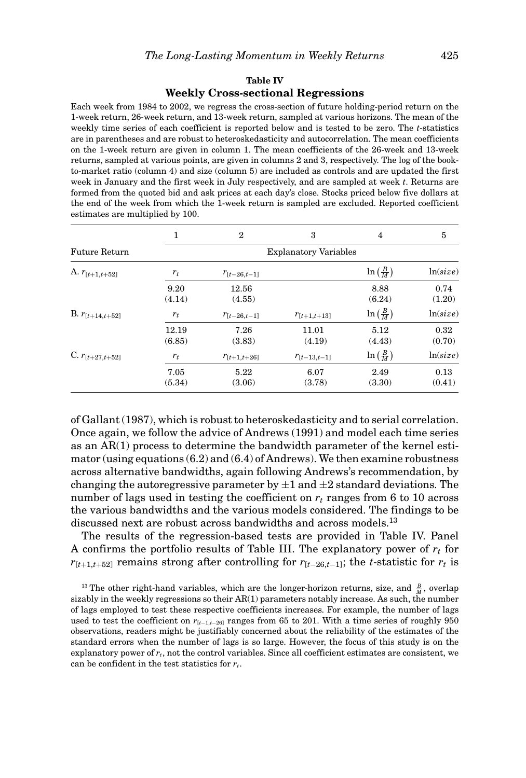#### **Table IV Weekly Cross-sectional Regressions**

Each week from 1984 to 2002, we regress the cross-section of future holding-period return on the 1-week return, 26-week return, and 13-week return, sampled at various horizons. The mean of the weekly time series of each coefficient is reported below and is tested to be zero. The *t*-statistics are in parentheses and are robust to heteroskedasticity and autocorrelation. The mean coefficients on the 1-week return are given in column 1. The mean coefficients of the 26-week and 13-week returns, sampled at various points, are given in columns 2 and 3, respectively. The log of the bookto-market ratio (column 4) and size (column 5) are included as controls and are updated the first week in January and the first week in July respectively, and are sampled at week *t*. Returns are formed from the quoted bid and ask prices at each day's close. Stocks priced below five dollars at the end of the week from which the 1-week return is sampled are excluded. Reported coefficient estimates are multiplied by 100.

|                      | 1               | $\overline{2}$               | 3                | 4                             | 5              |
|----------------------|-----------------|------------------------------|------------------|-------------------------------|----------------|
| <b>Future Return</b> |                 | <b>Explanatory Variables</b> |                  |                               |                |
| A. $r_{[t+1,t+52]}$  | $r_t$           | $r_{[t-26,t-1]}$             |                  | $\ln\left(\frac{B}{M}\right)$ | ln(size)       |
|                      | 9.20<br>(4.14)  | 12.56<br>(4.55)              |                  | 8.88<br>(6.24)                | 0.74<br>(1.20) |
| B. $r_{[t+14,t+52]}$ | $r_t$           | $r_{[t-26,t-1]}$             | $r_{[t+1,t+13]}$ | $\ln\left(\frac{B}{M}\right)$ | ln(size)       |
|                      | 12.19<br>(6.85) | 7.26<br>(3.83)               | 11.01<br>(4.19)  | 5.12<br>(4.43)                | 0.32<br>(0.70) |
| C. $r_{[t+27,t+52]}$ | $r_t$           | $r_{[t+1,t+26]}$             | $r_{[t-13,t-1]}$ | $\ln\left(\frac{B}{M}\right)$ | ln(size)       |
|                      | 7.05<br>(5.34)  | 5.22<br>(3.06)               | 6.07<br>(3.78)   | 2.49<br>(3.30)                | 0.13<br>(0.41) |

of Gallant (1987), which is robust to heteroskedasticity and to serial correlation. Once again, we follow the advice of Andrews (1991) and model each time series as an AR(1) process to determine the bandwidth parameter of the kernel estimator (using equations  $(6.2)$  and  $(6.4)$  of Andrews). We then examine robustness across alternative bandwidths, again following Andrews's recommendation, by changing the autoregressive parameter by  $\pm 1$  and  $\pm 2$  standard deviations. The number of lags used in testing the coefficient on  $r_t$  ranges from 6 to 10 across the various bandwidths and the various models considered. The findings to be discussed next are robust across bandwidths and across models.<sup>13</sup>

The results of the regression-based tests are provided in Table IV. Panel A confirms the portfolio results of Table III. The explanatory power of  $r_t$  for  $r_{[t+1,t+52]}$  remains strong after controlling for  $r_{[t-26,t-1]}$ ; the *t*-statistic for  $r_t$  is

<sup>13</sup> The other right-hand variables, which are the longer-horizon returns, size, and  $\frac{B}{M}$ , overlap sizably in the weekly regressions so their AR(1) parameters notably increase. As such, the number of lags employed to test these respective coefficients increases. For example, the number of lags used to test the coefficient on  $r_{[t-1,t-26]}$  ranges from 65 to 201. With a time series of roughly 950 observations, readers might be justifiably concerned about the reliability of the estimates of the standard errors when the number of lags is so large. However, the focus of this study is on the explanatory power of  $r_t$ , not the control variables. Since all coefficient estimates are consistent, we can be confident in the test statistics for  $r_t$ .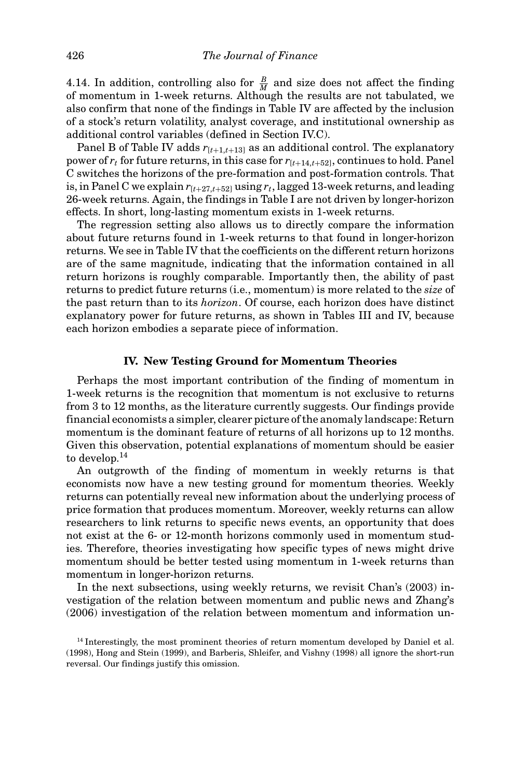4.14. In addition, controlling also for  $\frac{B}{M}$  and size does not affect the finding of momentum in 1-week returns. Although the results are not tabulated, we also confirm that none of the findings in Table IV are affected by the inclusion of a stock's return volatility, analyst coverage, and institutional ownership as additional control variables (defined in Section IV.C).

Panel B of Table IV adds  $r_{[t+1,t+13]}$  as an additional control. The explanatory power of  $r_t$  for future returns, in this case for  $r_{[t+14,t+52]}$ , continues to hold. Panel C switches the horizons of the pre-formation and post-formation controls. That is, in Panel C we explain *r*[*t*+27,*t*+52] using *rt*, lagged 13-week returns, and leading 26-week returns. Again, the findings in Table I are not driven by longer-horizon effects. In short, long-lasting momentum exists in 1-week returns.

The regression setting also allows us to directly compare the information about future returns found in 1-week returns to that found in longer-horizon returns. We see in Table IV that the coefficients on the different return horizons are of the same magnitude, indicating that the information contained in all return horizons is roughly comparable. Importantly then, the ability of past returns to predict future returns (i.e., momentum) is more related to the *size* of the past return than to its *horizon*. Of course, each horizon does have distinct explanatory power for future returns, as shown in Tables III and IV, because each horizon embodies a separate piece of information.

# **IV. New Testing Ground for Momentum Theories**

Perhaps the most important contribution of the finding of momentum in 1-week returns is the recognition that momentum is not exclusive to returns from 3 to 12 months, as the literature currently suggests. Our findings provide financial economists a simpler, clearer picture of the anomaly landscape: Return momentum is the dominant feature of returns of all horizons up to 12 months. Given this observation, potential explanations of momentum should be easier to develop.14

An outgrowth of the finding of momentum in weekly returns is that economists now have a new testing ground for momentum theories. Weekly returns can potentially reveal new information about the underlying process of price formation that produces momentum. Moreover, weekly returns can allow researchers to link returns to specific news events, an opportunity that does not exist at the 6- or 12-month horizons commonly used in momentum studies. Therefore, theories investigating how specific types of news might drive momentum should be better tested using momentum in 1-week returns than momentum in longer-horizon returns.

In the next subsections, using weekly returns, we revisit Chan's (2003) investigation of the relation between momentum and public news and Zhang's (2006) investigation of the relation between momentum and information un-

<sup>&</sup>lt;sup>14</sup> Interestingly, the most prominent theories of return momentum developed by Daniel et al. (1998), Hong and Stein (1999), and Barberis, Shleifer, and Vishny (1998) all ignore the short-run reversal. Our findings justify this omission.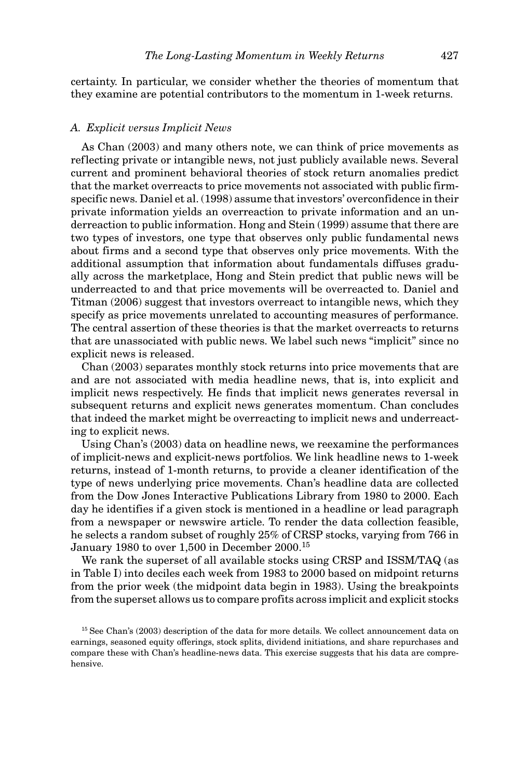certainty. In particular, we consider whether the theories of momentum that they examine are potential contributors to the momentum in 1-week returns.

#### *A. Explicit versus Implicit News*

As Chan (2003) and many others note, we can think of price movements as reflecting private or intangible news, not just publicly available news. Several current and prominent behavioral theories of stock return anomalies predict that the market overreacts to price movements not associated with public firmspecific news. Daniel et al. (1998) assume that investors' overconfidence in their private information yields an overreaction to private information and an underreaction to public information. Hong and Stein (1999) assume that there are two types of investors, one type that observes only public fundamental news about firms and a second type that observes only price movements. With the additional assumption that information about fundamentals diffuses gradually across the marketplace, Hong and Stein predict that public news will be underreacted to and that price movements will be overreacted to. Daniel and Titman (2006) suggest that investors overreact to intangible news, which they specify as price movements unrelated to accounting measures of performance. The central assertion of these theories is that the market overreacts to returns that are unassociated with public news. We label such news "implicit" since no explicit news is released.

Chan (2003) separates monthly stock returns into price movements that are and are not associated with media headline news, that is, into explicit and implicit news respectively. He finds that implicit news generates reversal in subsequent returns and explicit news generates momentum. Chan concludes that indeed the market might be overreacting to implicit news and underreacting to explicit news.

Using Chan's (2003) data on headline news, we reexamine the performances of implicit-news and explicit-news portfolios. We link headline news to 1-week returns, instead of 1-month returns, to provide a cleaner identification of the type of news underlying price movements. Chan's headline data are collected from the Dow Jones Interactive Publications Library from 1980 to 2000. Each day he identifies if a given stock is mentioned in a headline or lead paragraph from a newspaper or newswire article. To render the data collection feasible, he selects a random subset of roughly 25% of CRSP stocks, varying from 766 in January 1980 to over  $1,500$  in December  $2000$ .<sup>15</sup>

We rank the superset of all available stocks using CRSP and ISSM/TAQ (as in Table I) into deciles each week from 1983 to 2000 based on midpoint returns from the prior week (the midpoint data begin in 1983). Using the breakpoints from the superset allows us to compare profits across implicit and explicit stocks

<sup>&</sup>lt;sup>15</sup> See Chan's (2003) description of the data for more details. We collect announcement data on earnings, seasoned equity offerings, stock splits, dividend initiations, and share repurchases and compare these with Chan's headline-news data. This exercise suggests that his data are comprehensive.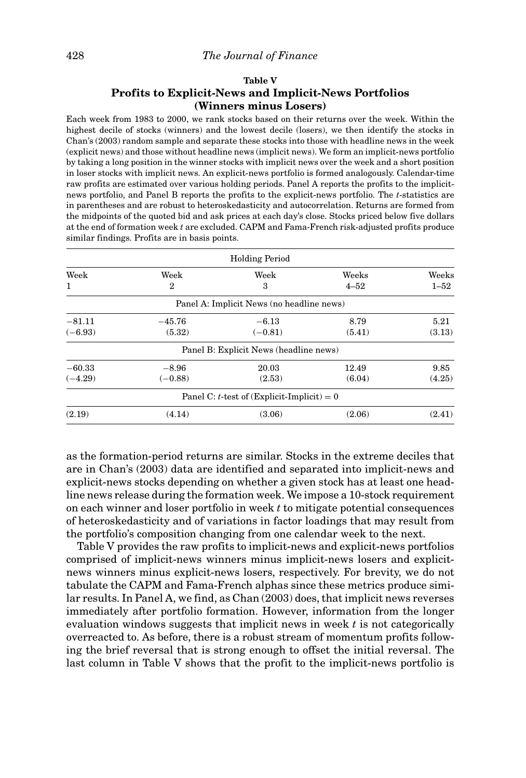# **Table V Profits to Explicit-News and Implicit-News Portfolios (Winners minus Losers)**

Each week from 1983 to 2000, we rank stocks based on their returns over the week. Within the highest decile of stocks (winners) and the lowest decile (losers), we then identify the stocks in Chan's (2003) random sample and separate these stocks into those with headline news in the week (explicit news) and those without headline news (implicit news). We form an implicit-news portfolio by taking a long position in the winner stocks with implicit news over the week and a short position in loser stocks with implicit news. An explicit-news portfolio is formed analogously. Calendar-time raw profits are estimated over various holding periods. Panel A reports the profits to the implicitnews portfolio, and Panel B reports the profits to the explicit-news portfolio. The *t*-statistics are in parentheses and are robust to heteroskedasticity and autocorrelation. Returns are formed from the midpoints of the quoted bid and ask prices at each day's close. Stocks priced below five dollars at the end of formation week *t* are excluded. CAPM and Fama-French risk-adjusted profits produce similar findings. Profits are in basis points.

|           |                  | <b>Holding Period</b>                        |          |          |
|-----------|------------------|----------------------------------------------|----------|----------|
| Week      | Week             | Week                                         | Weeks    | Weeks    |
| 1         | $\boldsymbol{2}$ | 3                                            | $4 - 52$ | $1 - 52$ |
|           |                  | Panel A: Implicit News (no headline news)    |          |          |
| $-81.11$  | $-45.76$         | $-6.13$                                      | 8.79     | 5.21     |
| $(-6.93)$ | (5.32)           | $(-0.81)$                                    | (5.41)   | (3.13)   |
|           |                  | Panel B: Explicit News (headline news)       |          |          |
| $-60.33$  | $-8.96$          | 20.03                                        | 12.49    | 9.85     |
| $(-4.29)$ | $(-0.88)$        | (2.53)                                       | (6.04)   | (4.25)   |
|           |                  | Panel C: t-test of (Explicit-Implicit) = $0$ |          |          |
| (2.19)    | (4.14)           | (3.06)                                       | (2.06)   | (2.41)   |

as the formation-period returns are similar. Stocks in the extreme deciles that are in Chan's (2003) data are identified and separated into implicit-news and explicit-news stocks depending on whether a given stock has at least one headline news release during the formation week. We impose a 10-stock requirement on each winner and loser portfolio in week *t* to mitigate potential consequences of heteroskedasticity and of variations in factor loadings that may result from the portfolio's composition changing from one calendar week to the next.

Table V provides the raw profits to implicit-news and explicit-news portfolios comprised of implicit-news winners minus implicit-news losers and explicitnews winners minus explicit-news losers, respectively. For brevity, we do not tabulate the CAPM and Fama-French alphas since these metrics produce similar results. In Panel A, we find, as Chan (2003) does, that implicit news reverses immediately after portfolio formation. However, information from the longer evaluation windows suggests that implicit news in week *t* is not categorically overreacted to. As before, there is a robust stream of momentum profits following the brief reversal that is strong enough to offset the initial reversal. The last column in Table V shows that the profit to the implicit-news portfolio is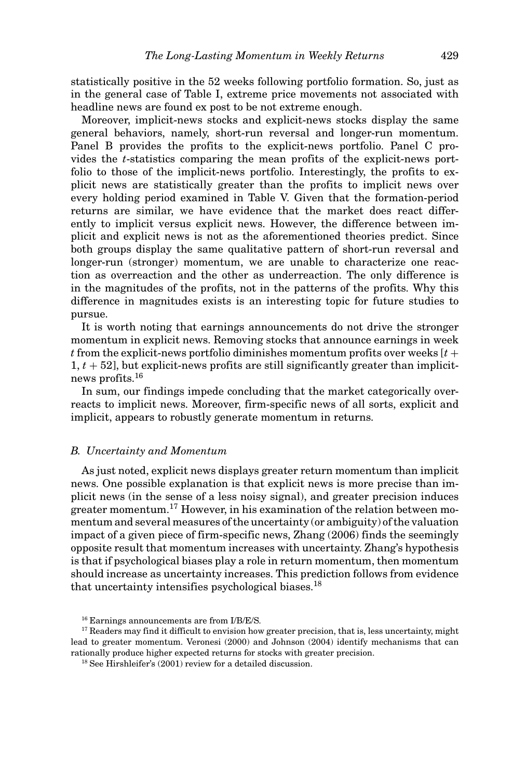statistically positive in the 52 weeks following portfolio formation. So, just as in the general case of Table I, extreme price movements not associated with headline news are found ex post to be not extreme enough.

Moreover, implicit-news stocks and explicit-news stocks display the same general behaviors, namely, short-run reversal and longer-run momentum. Panel B provides the profits to the explicit-news portfolio. Panel C provides the *t*-statistics comparing the mean profits of the explicit-news portfolio to those of the implicit-news portfolio. Interestingly, the profits to explicit news are statistically greater than the profits to implicit news over every holding period examined in Table V. Given that the formation-period returns are similar, we have evidence that the market does react differently to implicit versus explicit news. However, the difference between implicit and explicit news is not as the aforementioned theories predict. Since both groups display the same qualitative pattern of short-run reversal and longer-run (stronger) momentum, we are unable to characterize one reaction as overreaction and the other as underreaction. The only difference is in the magnitudes of the profits, not in the patterns of the profits. Why this difference in magnitudes exists is an interesting topic for future studies to pursue.

It is worth noting that earnings announcements do not drive the stronger momentum in explicit news. Removing stocks that announce earnings in week *t* from the explicit-news portfolio diminishes momentum profits over weeks [*t* +  $1, t + 52$ , but explicit-news profits are still significantly greater than implicitnews profits.16

In sum, our findings impede concluding that the market categorically overreacts to implicit news. Moreover, firm-specific news of all sorts, explicit and implicit, appears to robustly generate momentum in returns.

## *B. Uncertainty and Momentum*

As just noted, explicit news displays greater return momentum than implicit news. One possible explanation is that explicit news is more precise than implicit news (in the sense of a less noisy signal), and greater precision induces greater momentum.<sup>17</sup> However, in his examination of the relation between momentum and several measures of the uncertainty (or ambiguity) of the valuation impact of a given piece of firm-specific news, Zhang (2006) finds the seemingly opposite result that momentum increases with uncertainty. Zhang's hypothesis is that if psychological biases play a role in return momentum, then momentum should increase as uncertainty increases. This prediction follows from evidence that uncertainty intensifies psychological biases.<sup>18</sup>

<sup>16</sup> Earnings announcements are from I/B/E/S.

<sup>&</sup>lt;sup>17</sup> Readers may find it difficult to envision how greater precision, that is, less uncertainty, might lead to greater momentum. Veronesi (2000) and Johnson (2004) identify mechanisms that can rationally produce higher expected returns for stocks with greater precision.

<sup>18</sup> See Hirshleifer's (2001) review for a detailed discussion.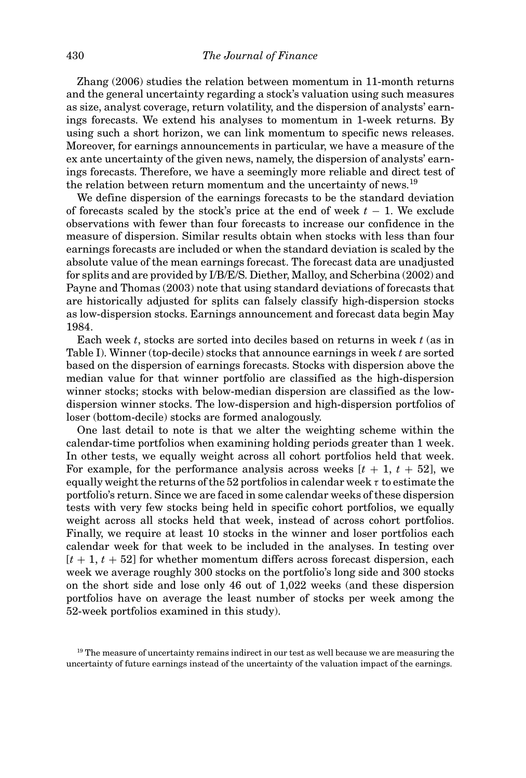Zhang (2006) studies the relation between momentum in 11-month returns and the general uncertainty regarding a stock's valuation using such measures as size, analyst coverage, return volatility, and the dispersion of analysts' earnings forecasts. We extend his analyses to momentum in 1-week returns. By using such a short horizon, we can link momentum to specific news releases. Moreover, for earnings announcements in particular, we have a measure of the ex ante uncertainty of the given news, namely, the dispersion of analysts' earnings forecasts. Therefore, we have a seemingly more reliable and direct test of the relation between return momentum and the uncertainty of news.<sup>19</sup>

We define dispersion of the earnings forecasts to be the standard deviation of forecasts scaled by the stock's price at the end of week  $t - 1$ . We exclude observations with fewer than four forecasts to increase our confidence in the measure of dispersion. Similar results obtain when stocks with less than four earnings forecasts are included or when the standard deviation is scaled by the absolute value of the mean earnings forecast. The forecast data are unadjusted for splits and are provided by I/B/E/S. Diether, Malloy, and Scherbina (2002) and Payne and Thomas (2003) note that using standard deviations of forecasts that are historically adjusted for splits can falsely classify high-dispersion stocks as low-dispersion stocks. Earnings announcement and forecast data begin May 1984.

Each week *t*, stocks are sorted into deciles based on returns in week *t* (as in Table I). Winner (top-decile) stocks that announce earnings in week *t* are sorted based on the dispersion of earnings forecasts. Stocks with dispersion above the median value for that winner portfolio are classified as the high-dispersion winner stocks; stocks with below-median dispersion are classified as the lowdispersion winner stocks. The low-dispersion and high-dispersion portfolios of loser (bottom-decile) stocks are formed analogously.

One last detail to note is that we alter the weighting scheme within the calendar-time portfolios when examining holding periods greater than 1 week. In other tests, we equally weight across all cohort portfolios held that week. For example, for the performance analysis across weeks  $[t + 1, t + 52]$ , we equally weight the returns of the 52 portfolios in calendar week  $\tau$  to estimate the portfolio's return. Since we are faced in some calendar weeks of these dispersion tests with very few stocks being held in specific cohort portfolios, we equally weight across all stocks held that week, instead of across cohort portfolios. Finally, we require at least 10 stocks in the winner and loser portfolios each calendar week for that week to be included in the analyses. In testing over  $[t + 1, t + 52]$  for whether momentum differs across forecast dispersion, each week we average roughly 300 stocks on the portfolio's long side and 300 stocks on the short side and lose only 46 out of 1,022 weeks (and these dispersion portfolios have on average the least number of stocks per week among the 52-week portfolios examined in this study).

<sup>19</sup> The measure of uncertainty remains indirect in our test as well because we are measuring the uncertainty of future earnings instead of the uncertainty of the valuation impact of the earnings.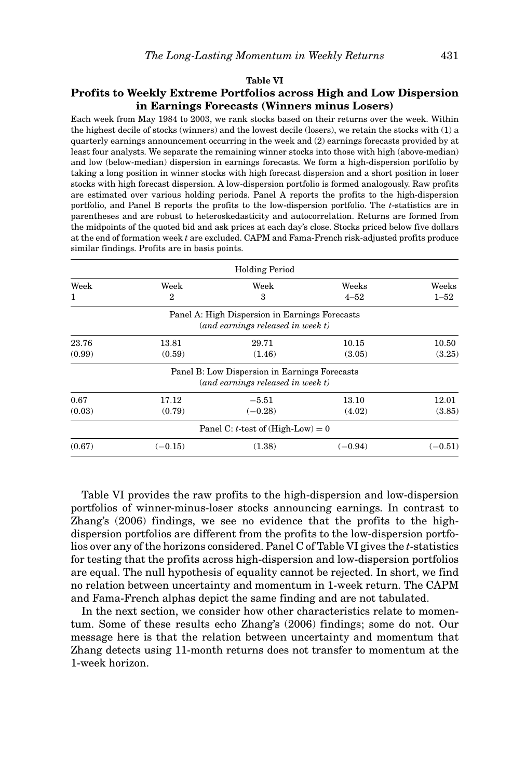# **Table VI Profits to Weekly Extreme Portfolios across High and Low Dispersion in Earnings Forecasts (Winners minus Losers)**

Each week from May 1984 to 2003, we rank stocks based on their returns over the week. Within the highest decile of stocks (winners) and the lowest decile (losers), we retain the stocks with (1) a quarterly earnings announcement occurring in the week and (2) earnings forecasts provided by at least four analysts. We separate the remaining winner stocks into those with high (above-median) and low (below-median) dispersion in earnings forecasts. We form a high-dispersion portfolio by taking a long position in winner stocks with high forecast dispersion and a short position in loser stocks with high forecast dispersion. A low-dispersion portfolio is formed analogously. Raw profits are estimated over various holding periods. Panel A reports the profits to the high-dispersion portfolio, and Panel B reports the profits to the low-dispersion portfolio. The *t*-statistics are in parentheses and are robust to heteroskedasticity and autocorrelation. Returns are formed from the midpoints of the quoted bid and ask prices at each day's close. Stocks priced below five dollars at the end of formation week *t* are excluded. CAPM and Fama-French risk-adjusted profits produce similar findings. Profits are in basis points.

|           |           | <b>Holding Period</b>                                                                      |                   |                   |
|-----------|-----------|--------------------------------------------------------------------------------------------|-------------------|-------------------|
| Week<br>1 | Week<br>2 | Week<br>3                                                                                  | Weeks<br>$4 - 52$ | Weeks<br>$1 - 52$ |
|           |           | Panel A: High Dispersion in Earnings Forecasts<br>$(and\ earnings\ released\ in\ week\ t)$ |                   |                   |
| 23.76     | 13.81     | 29.71                                                                                      | 10.15             | 10.50             |
| (0.99)    | (0.59)    | (1.46)                                                                                     | (3.05)            | (3.25)            |
|           |           | Panel B: Low Dispersion in Earnings Forecasts<br>$(and\ earnings\ released\ in\ week\ t)$  |                   |                   |
| 0.67      | 17.12     | $-5.51$                                                                                    | 13.10             | 12.01             |
| (0.03)    | (0.79)    | $(-0.28)$                                                                                  | (4.02)            | (3.85)            |
|           |           | Panel C: t-test of (High-Low) = $0$                                                        |                   |                   |
| (0.67)    | $(-0.15)$ | (1.38)                                                                                     | $(-0.94)$         | $(-0.51)$         |
|           |           |                                                                                            |                   |                   |

Table VI provides the raw profits to the high-dispersion and low-dispersion portfolios of winner-minus-loser stocks announcing earnings. In contrast to Zhang's (2006) findings, we see no evidence that the profits to the highdispersion portfolios are different from the profits to the low-dispersion portfolios over any of the horizons considered. Panel C of Table VI gives the *t*-statistics for testing that the profits across high-dispersion and low-dispersion portfolios are equal. The null hypothesis of equality cannot be rejected. In short, we find no relation between uncertainty and momentum in 1-week return. The CAPM and Fama-French alphas depict the same finding and are not tabulated.

In the next section, we consider how other characteristics relate to momentum. Some of these results echo Zhang's (2006) findings; some do not. Our message here is that the relation between uncertainty and momentum that Zhang detects using 11-month returns does not transfer to momentum at the 1-week horizon.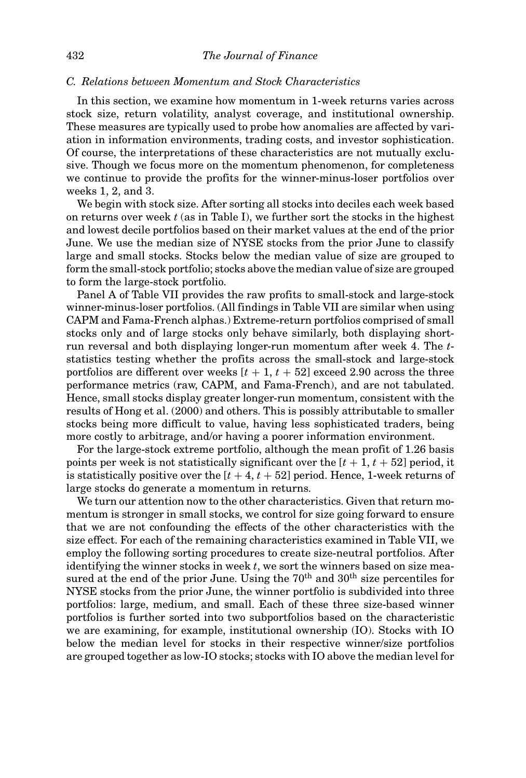#### *C. Relations between Momentum and Stock Characteristics*

In this section, we examine how momentum in 1-week returns varies across stock size, return volatility, analyst coverage, and institutional ownership. These measures are typically used to probe how anomalies are affected by variation in information environments, trading costs, and investor sophistication. Of course, the interpretations of these characteristics are not mutually exclusive. Though we focus more on the momentum phenomenon, for completeness we continue to provide the profits for the winner-minus-loser portfolios over weeks 1, 2, and 3.

We begin with stock size. After sorting all stocks into deciles each week based on returns over week *t* (as in Table I), we further sort the stocks in the highest and lowest decile portfolios based on their market values at the end of the prior June. We use the median size of NYSE stocks from the prior June to classify large and small stocks. Stocks below the median value of size are grouped to form the small-stock portfolio; stocks above the median value of size are grouped to form the large-stock portfolio.

Panel A of Table VII provides the raw profits to small-stock and large-stock winner-minus-loser portfolios. (All findings in Table VII are similar when using CAPM and Fama-French alphas.) Extreme-return portfolios comprised of small stocks only and of large stocks only behave similarly, both displaying shortrun reversal and both displaying longer-run momentum after week 4. The *t*statistics testing whether the profits across the small-stock and large-stock portfolios are different over weeks  $[t + 1, t + 52]$  exceed 2.90 across the three performance metrics (raw, CAPM, and Fama-French), and are not tabulated. Hence, small stocks display greater longer-run momentum, consistent with the results of Hong et al. (2000) and others. This is possibly attributable to smaller stocks being more difficult to value, having less sophisticated traders, being more costly to arbitrage, and/or having a poorer information environment.

For the large-stock extreme portfolio, although the mean profit of 1.26 basis points per week is not statistically significant over the  $[t + 1, t + 52]$  period, it is statistically positive over the  $[t + 4, t + 52]$  period. Hence, 1-week returns of large stocks do generate a momentum in returns.

We turn our attention now to the other characteristics. Given that return momentum is stronger in small stocks, we control for size going forward to ensure that we are not confounding the effects of the other characteristics with the size effect. For each of the remaining characteristics examined in Table VII, we employ the following sorting procedures to create size-neutral portfolios. After identifying the winner stocks in week *t*, we sort the winners based on size measured at the end of the prior June. Using the  $70<sup>th</sup>$  and  $30<sup>th</sup>$  size percentiles for NYSE stocks from the prior June, the winner portfolio is subdivided into three portfolios: large, medium, and small. Each of these three size-based winner portfolios is further sorted into two subportfolios based on the characteristic we are examining, for example, institutional ownership (IO). Stocks with IO below the median level for stocks in their respective winner/size portfolios are grouped together as low-IO stocks; stocks with IO above the median level for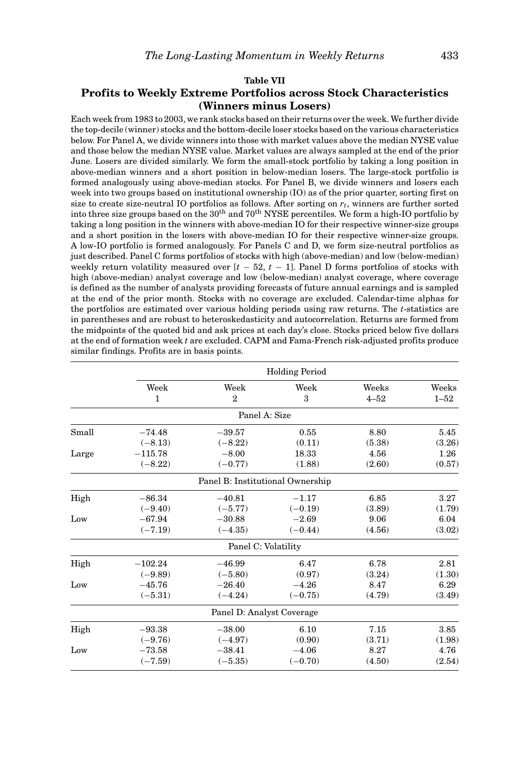# **Table VII Profits to Weekly Extreme Portfolios across Stock Characteristics (Winners minus Losers)**

Each week from 1983 to 2003, we rank stocks based on their returns over the week. We further divide the top-decile (winner) stocks and the bottom-decile loser stocks based on the various characteristics below. For Panel A, we divide winners into those with market values above the median NYSE value and those below the median NYSE value. Market values are always sampled at the end of the prior June. Losers are divided similarly. We form the small-stock portfolio by taking a long position in above-median winners and a short position in below-median losers. The large-stock portfolio is formed analogously using above-median stocks. For Panel B, we divide winners and losers each week into two groups based on institutional ownership (IO) as of the prior quarter, sorting first on size to create size-neutral IO portfolios as follows. After sorting on *rt*, winners are further sorted into three size groups based on the  $30<sup>th</sup>$  and  $70<sup>th</sup>$  NYSE percentiles. We form a high-IO portfolio by taking a long position in the winners with above-median IO for their respective winner-size groups and a short position in the losers with above-median IO for their respective winner-size groups. A low-IO portfolio is formed analogously. For Panels C and D, we form size-neutral portfolios as just described. Panel C forms portfolios of stocks with high (above-median) and low (below-median) weekly return volatility measured over  $[t - 52, t - 1]$ . Panel D forms portfolios of stocks with high (above-median) analyst coverage and low (below-median) analyst coverage, where coverage is defined as the number of analysts providing forecasts of future annual earnings and is sampled at the end of the prior month. Stocks with no coverage are excluded. Calendar-time alphas for the portfolios are estimated over various holding periods using raw returns. The *t*-statistics are in parentheses and are robust to heteroskedasticity and autocorrelation. Returns are formed from the midpoints of the quoted bid and ask prices at each day's close. Stocks priced below five dollars at the end of formation week *t* are excluded. CAPM and Fama-French risk-adjusted profits produce similar findings. Profits are in basis points.

|       |              | <b>Holding Period</b>            |           |          |          |  |
|-------|--------------|----------------------------------|-----------|----------|----------|--|
|       | Week         | Week                             | Week      | Weeks    | Weeks    |  |
|       | $\mathbf{1}$ | $\overline{2}$                   | 3         | $4 - 52$ | $1 - 52$ |  |
|       |              | Panel A: Size                    |           |          |          |  |
| Small | $-74.48$     | $-39.57$                         | 0.55      | 8.80     | 5.45     |  |
|       | $(-8.13)$    | $(-8.22)$                        | (0.11)    | (5.38)   | (3.26)   |  |
| Large | $-115.78$    | $-8.00$                          | 18.33     | 4.56     | 1.26     |  |
|       | $(-8.22)$    | $(-0.77)$                        | (1.88)    | (2.60)   | (0.57)   |  |
|       |              | Panel B: Institutional Ownership |           |          |          |  |
| High  | $-86.34$     | $-40.81$                         | $-1.17$   | 6.85     | 3.27     |  |
|       | $(-9.40)$    | $(-5.77)$                        | $(-0.19)$ | (3.89)   | (1.79)   |  |
| Low   | $-67.94$     | $-30.88$                         | $-2.69$   | 9.06     | 6.04     |  |
|       | $(-7.19)$    | $(-4.35)$                        | $(-0.44)$ | (4.56)   | (3.02)   |  |
|       |              | Panel C: Volatility              |           |          |          |  |
| High  | $-102.24$    | $-46.99$                         | 6.47      | 6.78     | 2.81     |  |
|       | $(-9.89)$    | $(-5.80)$                        | (0.97)    | (3.24)   | (1.30)   |  |
| Low   | $-45.76$     | $-26.40$                         | $-4.26$   | 8.47     | 6.29     |  |
|       | $(-5.31)$    | $(-4.24)$                        | $(-0.75)$ | (4.79)   | (3.49)   |  |
|       |              | Panel D: Analyst Coverage        |           |          |          |  |
| High  | $-93.38$     | $-38.00$                         | 6.10      | 7.15     | 3.85     |  |
|       | $(-9.76)$    | $(-4.97)$                        | (0.90)    | (3.71)   | (1.98)   |  |
| Low   | $-73.58$     | $-38.41$                         | $-4.06$   | 8.27     | 4.76     |  |
|       | $(-7.59)$    | $(-5.35)$                        | $(-0.70)$ | (4.50)   | (2.54)   |  |
|       |              |                                  |           |          |          |  |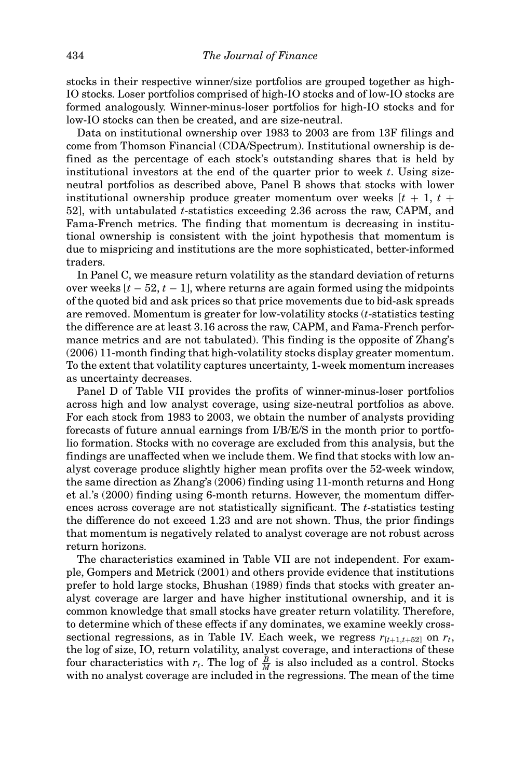stocks in their respective winner/size portfolios are grouped together as high-IO stocks. Loser portfolios comprised of high-IO stocks and of low-IO stocks are formed analogously. Winner-minus-loser portfolios for high-IO stocks and for low-IO stocks can then be created, and are size-neutral.

Data on institutional ownership over 1983 to 2003 are from 13F filings and come from Thomson Financial (CDA/Spectrum). Institutional ownership is defined as the percentage of each stock's outstanding shares that is held by institutional investors at the end of the quarter prior to week *t*. Using sizeneutral portfolios as described above, Panel B shows that stocks with lower institutional ownership produce greater momentum over weeks  $[t + 1, t +$ 52], with untabulated *t*-statistics exceeding 2.36 across the raw, CAPM, and Fama-French metrics. The finding that momentum is decreasing in institutional ownership is consistent with the joint hypothesis that momentum is due to mispricing and institutions are the more sophisticated, better-informed traders.

In Panel C, we measure return volatility as the standard deviation of returns over weeks  $[t - 52, t - 1]$ , where returns are again formed using the midpoints of the quoted bid and ask prices so that price movements due to bid-ask spreads are removed. Momentum is greater for low-volatility stocks (*t*-statistics testing the difference are at least 3.16 across the raw, CAPM, and Fama-French performance metrics and are not tabulated). This finding is the opposite of Zhang's (2006) 11-month finding that high-volatility stocks display greater momentum. To the extent that volatility captures uncertainty, 1-week momentum increases as uncertainty decreases.

Panel D of Table VII provides the profits of winner-minus-loser portfolios across high and low analyst coverage, using size-neutral portfolios as above. For each stock from 1983 to 2003, we obtain the number of analysts providing forecasts of future annual earnings from I/B/E/S in the month prior to portfolio formation. Stocks with no coverage are excluded from this analysis, but the findings are unaffected when we include them. We find that stocks with low analyst coverage produce slightly higher mean profits over the 52-week window, the same direction as Zhang's (2006) finding using 11-month returns and Hong et al.'s (2000) finding using 6-month returns. However, the momentum differences across coverage are not statistically significant. The *t*-statistics testing the difference do not exceed 1.23 and are not shown. Thus, the prior findings that momentum is negatively related to analyst coverage are not robust across return horizons.

The characteristics examined in Table VII are not independent. For example, Gompers and Metrick (2001) and others provide evidence that institutions prefer to hold large stocks, Bhushan (1989) finds that stocks with greater analyst coverage are larger and have higher institutional ownership, and it is common knowledge that small stocks have greater return volatility. Therefore, to determine which of these effects if any dominates, we examine weekly crosssectional regressions, as in Table IV. Each week, we regress  $r_{[t+1,t+52]}$  on  $r_t$ , the log of size, IO, return volatility, analyst coverage, and interactions of these four characteristics with  $r_t$ . The log of  $\frac{B}{M}$  is also included as a control. Stocks with no analyst coverage are included in the regressions. The mean of the time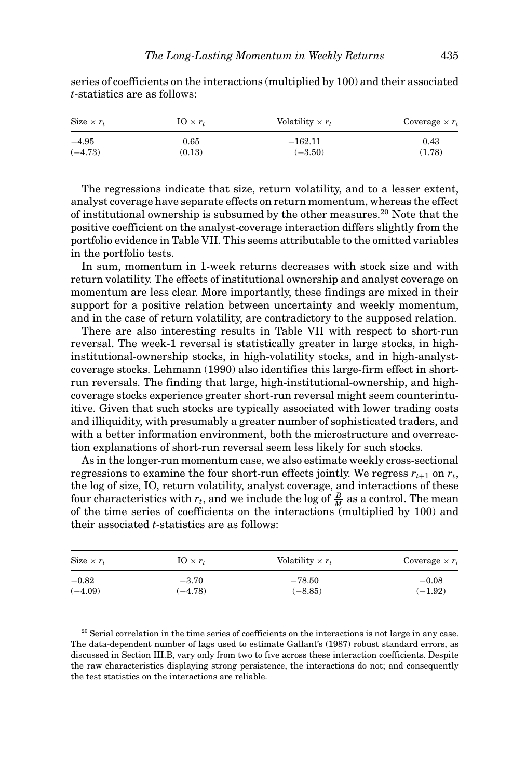| Size $\times r_t$ | $IO \times r_t$ | Volatility $\times r_t$ | Coverage $\times r_t$ |
|-------------------|-----------------|-------------------------|-----------------------|
| $-4.95$           | 0.65            | $-162.11$               | 0.43                  |
| $(-4.73)$         | (0.13)          | $(-3.50)$               | (1.78)                |

series of coefficients on the interactions (multiplied by 100) and their associated *t*-statistics are as follows:

The regressions indicate that size, return volatility, and to a lesser extent, analyst coverage have separate effects on return momentum, whereas the effect of institutional ownership is subsumed by the other measures.<sup>20</sup> Note that the positive coefficient on the analyst-coverage interaction differs slightly from the portfolio evidence in Table VII. This seems attributable to the omitted variables in the portfolio tests.

In sum, momentum in 1-week returns decreases with stock size and with return volatility. The effects of institutional ownership and analyst coverage on momentum are less clear. More importantly, these findings are mixed in their support for a positive relation between uncertainty and weekly momentum, and in the case of return volatility, are contradictory to the supposed relation.

There are also interesting results in Table VII with respect to short-run reversal. The week-1 reversal is statistically greater in large stocks, in highinstitutional-ownership stocks, in high-volatility stocks, and in high-analystcoverage stocks. Lehmann (1990) also identifies this large-firm effect in shortrun reversals. The finding that large, high-institutional-ownership, and highcoverage stocks experience greater short-run reversal might seem counterintuitive. Given that such stocks are typically associated with lower trading costs and illiquidity, with presumably a greater number of sophisticated traders, and with a better information environment, both the microstructure and overreaction explanations of short-run reversal seem less likely for such stocks.

As in the longer-run momentum case, we also estimate weekly cross-sectional regressions to examine the four short-run effects jointly. We regress  $r_{t+1}$  on  $r_t$ , the log of size, IO, return volatility, analyst coverage, and interactions of these four characteristics with  $r_t$ , and we include the log of  $\frac{B}{M}$  as a control. The mean of the time series of coefficients on the interactions (multiplied by 100) and their associated *t*-statistics are as follows:

| Size $\times r_t$ | $IO \times r_t$ | Volatility $\times r_t$ | Coverage $\times r_t$ |
|-------------------|-----------------|-------------------------|-----------------------|
| $-0.82$           | $-3.70$         | $-78.50$                | $-0.08$               |
| $(-4.09)$         | $(-4.78)$       | $(-8.85)$               | $(-1.92)$             |

 $20$  Serial correlation in the time series of coefficients on the interactions is not large in any case. The data-dependent number of lags used to estimate Gallant's (1987) robust standard errors, as discussed in Section III.B, vary only from two to five across these interaction coefficients. Despite the raw characteristics displaying strong persistence, the interactions do not; and consequently the test statistics on the interactions are reliable.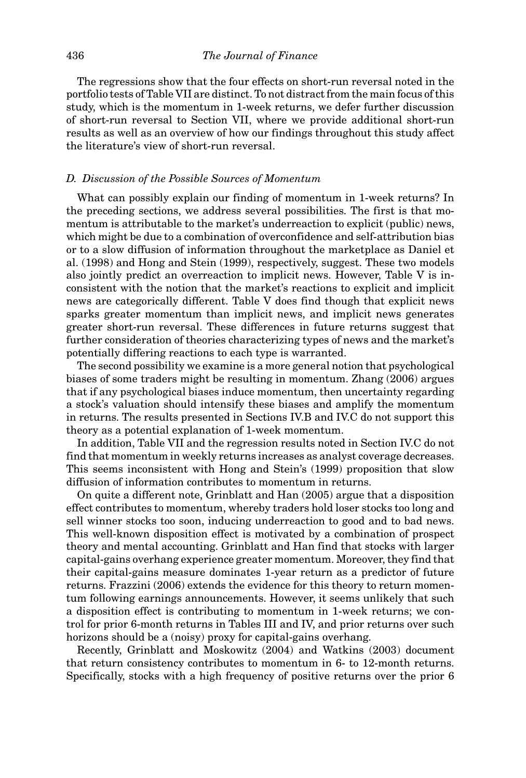The regressions show that the four effects on short-run reversal noted in the portfolio tests of Table VII are distinct. To not distract from the main focus of this study, which is the momentum in 1-week returns, we defer further discussion of short-run reversal to Section VII, where we provide additional short-run results as well as an overview of how our findings throughout this study affect the literature's view of short-run reversal.

## *D. Discussion of the Possible Sources of Momentum*

What can possibly explain our finding of momentum in 1-week returns? In the preceding sections, we address several possibilities. The first is that momentum is attributable to the market's underreaction to explicit (public) news, which might be due to a combination of overconfidence and self-attribution bias or to a slow diffusion of information throughout the marketplace as Daniel et al. (1998) and Hong and Stein (1999), respectively, suggest. These two models also jointly predict an overreaction to implicit news. However, Table V is inconsistent with the notion that the market's reactions to explicit and implicit news are categorically different. Table V does find though that explicit news sparks greater momentum than implicit news, and implicit news generates greater short-run reversal. These differences in future returns suggest that further consideration of theories characterizing types of news and the market's potentially differing reactions to each type is warranted.

The second possibility we examine is a more general notion that psychological biases of some traders might be resulting in momentum. Zhang (2006) argues that if any psychological biases induce momentum, then uncertainty regarding a stock's valuation should intensify these biases and amplify the momentum in returns. The results presented in Sections IV.B and IV.C do not support this theory as a potential explanation of 1-week momentum.

In addition, Table VII and the regression results noted in Section IV.C do not find that momentum in weekly returns increases as analyst coverage decreases. This seems inconsistent with Hong and Stein's (1999) proposition that slow diffusion of information contributes to momentum in returns.

On quite a different note, Grinblatt and Han (2005) argue that a disposition effect contributes to momentum, whereby traders hold loser stocks too long and sell winner stocks too soon, inducing underreaction to good and to bad news. This well-known disposition effect is motivated by a combination of prospect theory and mental accounting. Grinblatt and Han find that stocks with larger capital-gains overhang experience greater momentum. Moreover, they find that their capital-gains measure dominates 1-year return as a predictor of future returns. Frazzini (2006) extends the evidence for this theory to return momentum following earnings announcements. However, it seems unlikely that such a disposition effect is contributing to momentum in 1-week returns; we control for prior 6-month returns in Tables III and IV, and prior returns over such horizons should be a (noisy) proxy for capital-gains overhang.

Recently, Grinblatt and Moskowitz (2004) and Watkins (2003) document that return consistency contributes to momentum in 6- to 12-month returns. Specifically, stocks with a high frequency of positive returns over the prior 6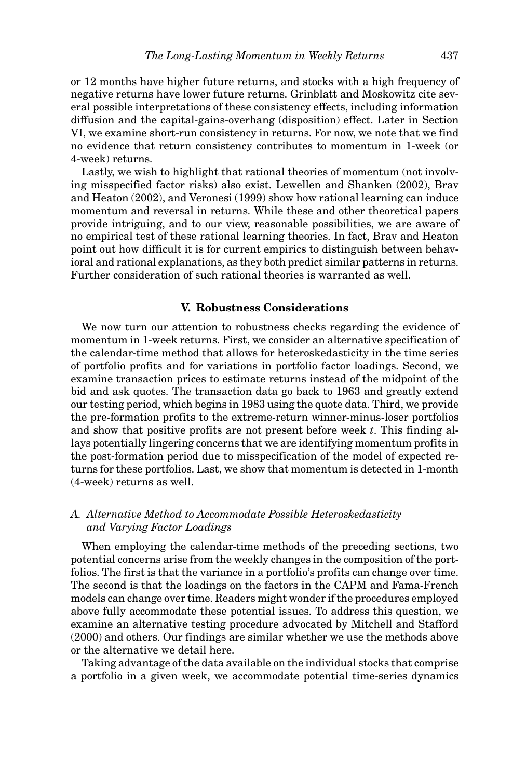or 12 months have higher future returns, and stocks with a high frequency of negative returns have lower future returns. Grinblatt and Moskowitz cite several possible interpretations of these consistency effects, including information diffusion and the capital-gains-overhang (disposition) effect. Later in Section VI, we examine short-run consistency in returns. For now, we note that we find no evidence that return consistency contributes to momentum in 1-week (or 4-week) returns.

Lastly, we wish to highlight that rational theories of momentum (not involving misspecified factor risks) also exist. Lewellen and Shanken (2002), Brav and Heaton (2002), and Veronesi (1999) show how rational learning can induce momentum and reversal in returns. While these and other theoretical papers provide intriguing, and to our view, reasonable possibilities, we are aware of no empirical test of these rational learning theories. In fact, Brav and Heaton point out how difficult it is for current empirics to distinguish between behavioral and rational explanations, as they both predict similar patterns in returns. Further consideration of such rational theories is warranted as well.

# **V. Robustness Considerations**

We now turn our attention to robustness checks regarding the evidence of momentum in 1-week returns. First, we consider an alternative specification of the calendar-time method that allows for heteroskedasticity in the time series of portfolio profits and for variations in portfolio factor loadings. Second, we examine transaction prices to estimate returns instead of the midpoint of the bid and ask quotes. The transaction data go back to 1963 and greatly extend our testing period, which begins in 1983 using the quote data. Third, we provide the pre-formation profits to the extreme-return winner-minus-loser portfolios and show that positive profits are not present before week *t*. This finding allays potentially lingering concerns that we are identifying momentum profits in the post-formation period due to misspecification of the model of expected returns for these portfolios. Last, we show that momentum is detected in 1-month (4-week) returns as well.

# *A. Alternative Method to Accommodate Possible Heteroskedasticity and Varying Factor Loadings*

When employing the calendar-time methods of the preceding sections, two potential concerns arise from the weekly changes in the composition of the portfolios. The first is that the variance in a portfolio's profits can change over time. The second is that the loadings on the factors in the CAPM and Fama-French models can change over time. Readers might wonder if the procedures employed above fully accommodate these potential issues. To address this question, we examine an alternative testing procedure advocated by Mitchell and Stafford (2000) and others. Our findings are similar whether we use the methods above or the alternative we detail here.

Taking advantage of the data available on the individual stocks that comprise a portfolio in a given week, we accommodate potential time-series dynamics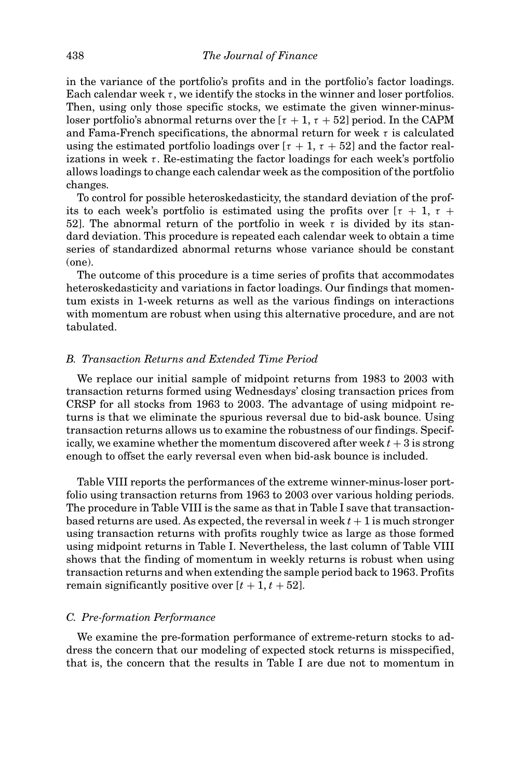in the variance of the portfolio's profits and in the portfolio's factor loadings. Each calendar week  $\tau$ , we identify the stocks in the winner and loser portfolios. Then, using only those specific stocks, we estimate the given winner-minusloser portfolio's abnormal returns over the  $[\tau + 1, \tau + 52]$  period. In the CAPM and Fama-French specifications, the abnormal return for week  $\tau$  is calculated using the estimated portfolio loadings over [ $\tau + 1$ ,  $\tau + 52$ ] and the factor realizations in week  $\tau$ . Re-estimating the factor loadings for each week's portfolio allows loadings to change each calendar week as the composition of the portfolio changes.

To control for possible heteroskedasticity, the standard deviation of the profits to each week's portfolio is estimated using the profits over  $[\tau + 1, \tau +$ 52]. The abnormal return of the portfolio in week  $\tau$  is divided by its standard deviation. This procedure is repeated each calendar week to obtain a time series of standardized abnormal returns whose variance should be constant (one).

The outcome of this procedure is a time series of profits that accommodates heteroskedasticity and variations in factor loadings. Our findings that momentum exists in 1-week returns as well as the various findings on interactions with momentum are robust when using this alternative procedure, and are not tabulated.

# *B. Transaction Returns and Extended Time Period*

We replace our initial sample of midpoint returns from 1983 to 2003 with transaction returns formed using Wednesdays' closing transaction prices from CRSP for all stocks from 1963 to 2003. The advantage of using midpoint returns is that we eliminate the spurious reversal due to bid-ask bounce. Using transaction returns allows us to examine the robustness of our findings. Specifically, we examine whether the momentum discovered after week  $t + 3$  is strong enough to offset the early reversal even when bid-ask bounce is included.

Table VIII reports the performances of the extreme winner-minus-loser portfolio using transaction returns from 1963 to 2003 over various holding periods. The procedure in Table VIII is the same as that in Table I save that transactionbased returns are used. As expected, the reversal in week *t* + 1 is much stronger using transaction returns with profits roughly twice as large as those formed using midpoint returns in Table I. Nevertheless, the last column of Table VIII shows that the finding of momentum in weekly returns is robust when using transaction returns and when extending the sample period back to 1963. Profits remain significantly positive over  $[t+1, t+52]$ .

#### *C. Pre-formation Performance*

We examine the pre-formation performance of extreme-return stocks to address the concern that our modeling of expected stock returns is misspecified, that is, the concern that the results in Table I are due not to momentum in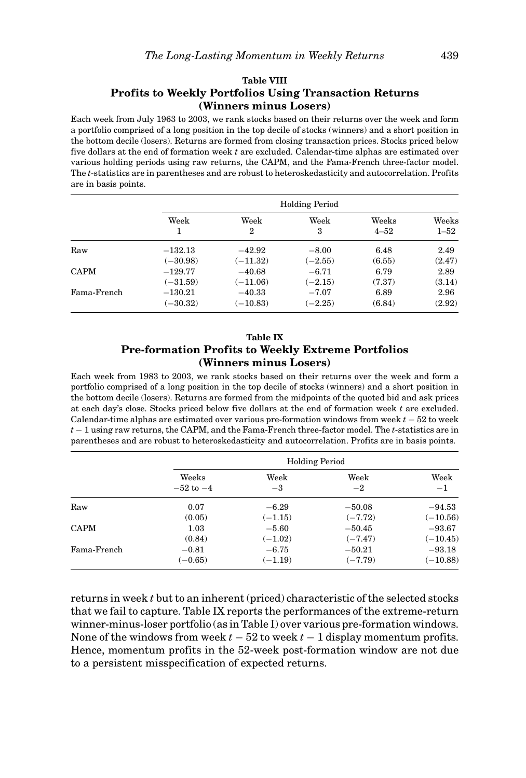# **Table VIII Profits to Weekly Portfolios Using Transaction Returns (Winners minus Losers)**

Each week from July 1963 to 2003, we rank stocks based on their returns over the week and form a portfolio comprised of a long position in the top decile of stocks (winners) and a short position in the bottom decile (losers). Returns are formed from closing transaction prices. Stocks priced below five dollars at the end of formation week *t* are excluded. Calendar-time alphas are estimated over various holding periods using raw returns, the CAPM, and the Fama-French three-factor model. The *t*-statistics are in parentheses and are robust to heteroskedasticity and autocorrelation. Profits are in basis points.

|             | <b>Holding Period</b> |                        |           |                   |                   |
|-------------|-----------------------|------------------------|-----------|-------------------|-------------------|
|             | Week                  | Week<br>$\overline{2}$ | Week<br>3 | Weeks<br>$4 - 52$ | Weeks<br>$1 - 52$ |
| Raw         | $-132.13$             | $-42.92$               | $-8.00$   | 6.48              | 2.49              |
|             | $(-30.98)$            | $(-11.32)$             | $(-2.55)$ | (6.55)            | (2.47)            |
| <b>CAPM</b> | $-129.77$             | $-40.68$               | $-6.71$   | 6.79              | 2.89              |
|             | $(-31.59)$            | $(-11.06)$             | $(-2.15)$ | (7.37)            | (3.14)            |
| Fama-French | $-130.21$             | $-40.33$               | $-7.07$   | 6.89              | 2.96              |
|             | $(-30.32)$            | $(-10.83)$             | $(-2.25)$ | (6.84)            | (2.92)            |

# **Table IX Pre-formation Profits to Weekly Extreme Portfolios (Winners minus Losers)**

Each week from 1983 to 2003, we rank stocks based on their returns over the week and form a portfolio comprised of a long position in the top decile of stocks (winners) and a short position in the bottom decile (losers). Returns are formed from the midpoints of the quoted bid and ask prices at each day's close. Stocks priced below five dollars at the end of formation week *t* are excluded. Calendar-time alphas are estimated over various pre-formation windows from week *t* − 52 to week *t* − 1 using raw returns, the CAPM, and the Fama-French three-factor model. The *t*-statistics are in parentheses and are robust to heteroskedasticity and autocorrelation. Profits are in basis points.

|             | <b>Holding Period</b> |           |           |            |
|-------------|-----------------------|-----------|-----------|------------|
|             | Weeks                 | Week      | Week      | Week       |
|             | $-52$ to $-4$         | $^{-3}$   | $-2$      | $^{-1}$    |
| Raw         | 0.07                  | $-6.29$   | $-50.08$  | $-94.53$   |
|             | (0.05)                | $(-1.15)$ | $(-7.72)$ | $(-10.56)$ |
| <b>CAPM</b> | 1.03                  | $-5.60$   | $-50.45$  | $-93.67$   |
|             | (0.84)                | $(-1.02)$ | $(-7.47)$ | $(-10.45)$ |
| Fama-French | $-0.81$               | $-6.75$   | $-50.21$  | $-93.18$   |
|             | $(-0.65)$             | $(-1.19)$ | $(-7.79)$ | $(-10.88)$ |

returns in week *t* but to an inherent (priced) characteristic of the selected stocks that we fail to capture. Table IX reports the performances of the extreme-return winner-minus-loser portfolio (as in Table I) over various pre-formation windows. None of the windows from week  $t - 52$  to week  $t - 1$  display momentum profits. Hence, momentum profits in the 52-week post-formation window are not due to a persistent misspecification of expected returns.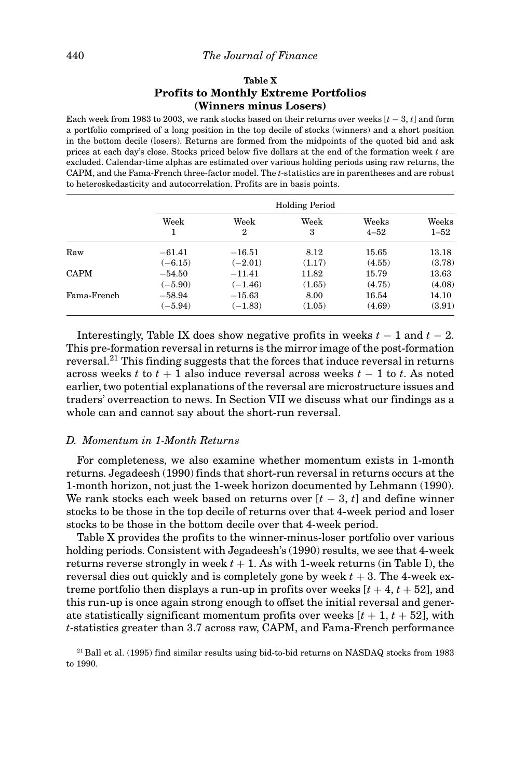# **Table X Profits to Monthly Extreme Portfolios (Winners minus Losers)**

Each week from 1983 to 2003, we rank stocks based on their returns over weeks  $[t - 3, t]$  and form a portfolio comprised of a long position in the top decile of stocks (winners) and a short position in the bottom decile (losers). Returns are formed from the midpoints of the quoted bid and ask prices at each day's close. Stocks priced below five dollars at the end of the formation week *t* are excluded. Calendar-time alphas are estimated over various holding periods using raw returns, the CAPM, and the Fama-French three-factor model. The *t*-statistics are in parentheses and are robust to heteroskedasticity and autocorrelation. Profits are in basis points.

|             |           | <b>Holding Period</b>  |           |                   |                   |
|-------------|-----------|------------------------|-----------|-------------------|-------------------|
|             | Week      | Week<br>$\overline{2}$ | Week<br>3 | Weeks<br>$4 - 52$ | Weeks<br>$1 - 52$ |
| Raw         | $-61.41$  | $-16.51$               | 8.12      | 15.65             | 13.18             |
|             | $(-6.15)$ | $(-2.01)$              | (1.17)    | (4.55)            | (3.78)            |
| <b>CAPM</b> | $-54.50$  | $-11.41$               | 11.82     | 15.79             | 13.63             |
|             | $(-5.90)$ | $(-1.46)$              | (1.65)    | (4.75)            | (4.08)            |
| Fama-French | $-58.94$  | $^{-15.63}$            | 8.00      | 16.54             | 14.10             |
|             | $(-5.94)$ | $(-1.83)$              | (1.05)    | (4.69)            | (3.91)            |

Interestingly, Table IX does show negative profits in weeks  $t - 1$  and  $t - 2$ . This pre-formation reversal in returns is the mirror image of the post-formation reversal.<sup>21</sup> This finding suggests that the forces that induce reversal in returns across weeks  $t$  to  $t + 1$  also induce reversal across weeks  $t - 1$  to  $t$ . As noted earlier, two potential explanations of the reversal are microstructure issues and traders' overreaction to news. In Section VII we discuss what our findings as a whole can and cannot say about the short-run reversal.

#### *D. Momentum in 1-Month Returns*

For completeness, we also examine whether momentum exists in 1-month returns. Jegadeesh (1990) finds that short-run reversal in returns occurs at the 1-month horizon, not just the 1-week horizon documented by Lehmann (1990). We rank stocks each week based on returns over  $[t - 3, t]$  and define winner stocks to be those in the top decile of returns over that 4-week period and loser stocks to be those in the bottom decile over that 4-week period.

Table X provides the profits to the winner-minus-loser portfolio over various holding periods. Consistent with Jegadeesh's (1990) results, we see that 4-week returns reverse strongly in week  $t + 1$ . As with 1-week returns (in Table I), the reversal dies out quickly and is completely gone by week *t* + 3. The 4-week extreme portfolio then displays a run-up in profits over weeks  $[t + 4, t + 52]$ , and this run-up is once again strong enough to offset the initial reversal and generate statistically significant momentum profits over weeks  $[t + 1, t + 52]$ , with *t*-statistics greater than 3.7 across raw, CAPM, and Fama-French performance

<sup>21</sup> Ball et al. (1995) find similar results using bid-to-bid returns on NASDAQ stocks from 1983 to 1990.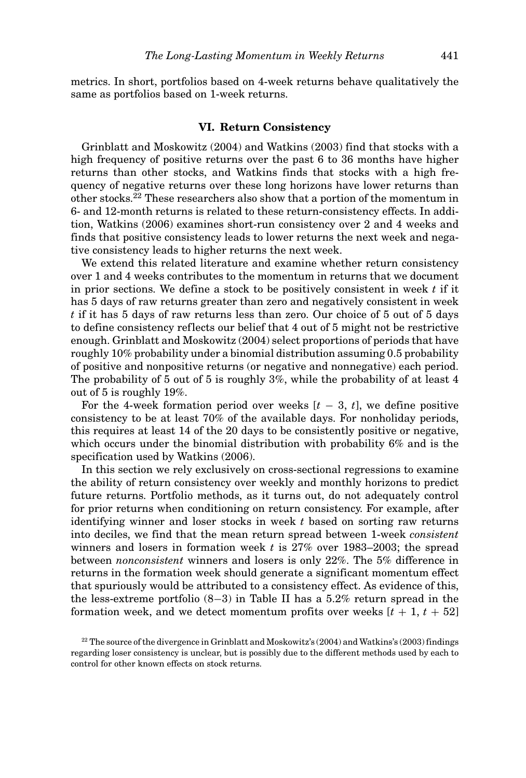metrics. In short, portfolios based on 4-week returns behave qualitatively the same as portfolios based on 1-week returns.

#### **VI. Return Consistency**

Grinblatt and Moskowitz (2004) and Watkins (2003) find that stocks with a high frequency of positive returns over the past 6 to 36 months have higher returns than other stocks, and Watkins finds that stocks with a high frequency of negative returns over these long horizons have lower returns than other stocks.22 These researchers also show that a portion of the momentum in 6- and 12-month returns is related to these return-consistency effects. In addition, Watkins (2006) examines short-run consistency over 2 and 4 weeks and finds that positive consistency leads to lower returns the next week and negative consistency leads to higher returns the next week.

We extend this related literature and examine whether return consistency over 1 and 4 weeks contributes to the momentum in returns that we document in prior sections. We define a stock to be positively consistent in week *t* if it has 5 days of raw returns greater than zero and negatively consistent in week *t* if it has 5 days of raw returns less than zero. Our choice of 5 out of 5 days to define consistency reflects our belief that 4 out of 5 might not be restrictive enough. Grinblatt and Moskowitz (2004) select proportions of periods that have roughly 10% probability under a binomial distribution assuming 0.5 probability of positive and nonpositive returns (or negative and nonnegative) each period. The probability of 5 out of 5 is roughly 3%, while the probability of at least 4 out of 5 is roughly 19%.

For the 4-week formation period over weeks  $[t - 3, t]$ , we define positive consistency to be at least 70% of the available days. For nonholiday periods, this requires at least 14 of the 20 days to be consistently positive or negative, which occurs under the binomial distribution with probability 6% and is the specification used by Watkins (2006).

In this section we rely exclusively on cross-sectional regressions to examine the ability of return consistency over weekly and monthly horizons to predict future returns. Portfolio methods, as it turns out, do not adequately control for prior returns when conditioning on return consistency. For example, after identifying winner and loser stocks in week *t* based on sorting raw returns into deciles, we find that the mean return spread between 1-week *consistent* winners and losers in formation week *t* is 27% over 1983–2003; the spread between *nonconsistent* winners and losers is only 22%. The 5% difference in returns in the formation week should generate a significant momentum effect that spuriously would be attributed to a consistency effect. As evidence of this, the less-extreme portfolio (8−3) in Table II has a 5.2% return spread in the formation week, and we detect momentum profits over weeks  $[t + 1, t + 52]$ 

 $22$  The source of the divergence in Grinblatt and Moskowitz's (2004) and Watkins's (2003) findings regarding loser consistency is unclear, but is possibly due to the different methods used by each to control for other known effects on stock returns.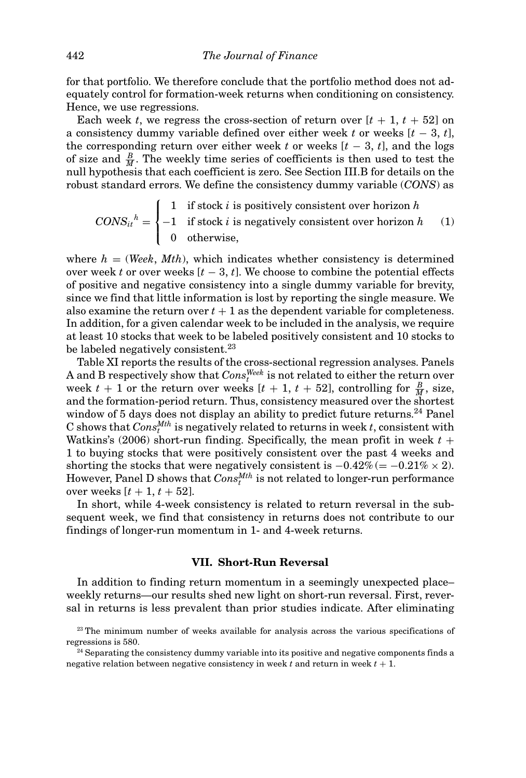for that portfolio. We therefore conclude that the portfolio method does not adequately control for formation-week returns when conditioning on consistency. Hence, we use regressions.

Each week *t*, we regress the cross-section of return over  $[t + 1, t + 52]$  on a consistency dummy variable defined over either week *t* or weeks [*t* − 3, *t*], the corresponding return over either week *t* or weeks  $[t - 3, t]$ , and the logs of size and  $\frac{B}{M}$ . The weekly time series of coefficients is then used to test the null hypothesis that each coefficient is zero. See Section III.B for details on the robust standard errors. We define the consistency dummy variable (*CONS*) as

$$
CONS_{it}^h = \begin{cases} 1 & \text{if stock } i \text{ is positively consistent over horizon } h \\ -1 & \text{if stock } i \text{ is negatively consistent over horizon } h \\ 0 & \text{otherwise,} \end{cases}
$$
 (1)

where  $h = (Week, Mth)$ , which indicates whether consistency is determined over week *t* or over weeks [*t* − 3, *t*]. We choose to combine the potential effects of positive and negative consistency into a single dummy variable for brevity, since we find that little information is lost by reporting the single measure. We also examine the return over  $t + 1$  as the dependent variable for completeness. In addition, for a given calendar week to be included in the analysis, we require at least 10 stocks that week to be labeled positively consistent and 10 stocks to be labeled negatively consistent.<sup>23</sup>

Table XI reports the results of the cross-sectional regression analyses. Panels A and B respectively show that  $Cons<sub>t</sub><sup>Week</sup>$  is not related to either the return over week  $t + 1$  or the return over weeks  $[t + 1, t + 52]$ , controlling for  $\frac{B}{M}$ , size, and the formation-period return. Thus, consistency measured over the shortest window of 5 days does not display an ability to predict future returns.<sup>24</sup> Panel  $C$  shows that  $Cons^{Mth}_{t}$  is negatively related to returns in week  $t$ , consistent with Watkins's (2006) short-run finding. Specifically, the mean profit in week  $t +$ 1 to buying stocks that were positively consistent over the past 4 weeks and shorting the stocks that were negatively consistent is  $-0.42\% (= -0.21\% \times 2)$ . However, Panel D shows that  $Cons^{Mth}_t$  is not related to longer-run performance over weeks  $[t+1, t+52]$ .

In short, while 4-week consistency is related to return reversal in the subsequent week, we find that consistency in returns does not contribute to our findings of longer-run momentum in 1- and 4-week returns.

## **VII. Short-Run Reversal**

In addition to finding return momentum in a seemingly unexpected place– weekly returns—our results shed new light on short-run reversal. First, reversal in returns is less prevalent than prior studies indicate. After eliminating

<sup>23</sup> The minimum number of weeks available for analysis across the various specifications of regressions is 580.

<sup>&</sup>lt;sup>24</sup> Separating the consistency dummy variable into its positive and negative components finds a negative relation between negative consistency in week  $t$  and return in week  $t + 1$ .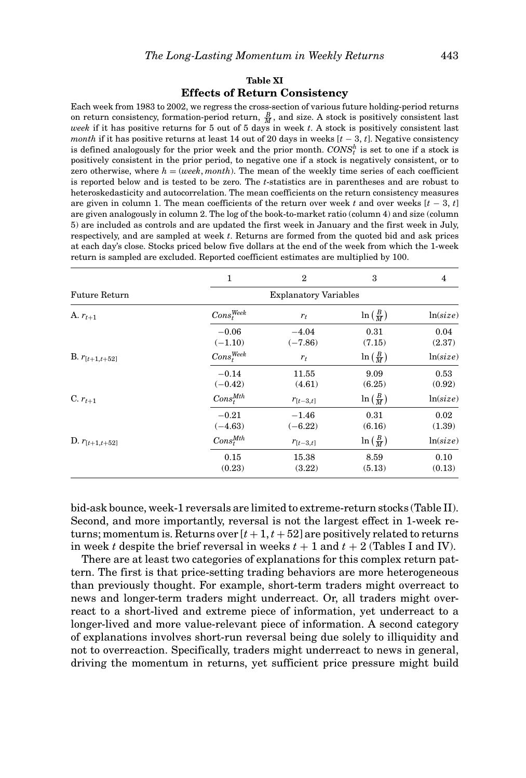# **Table XI Effects of Return Consistency**

Each week from 1983 to 2002, we regress the cross-section of various future holding-period returns on return consistency, formation-period return,  $\frac{B}{M}$ , and size. A stock is positively consistent last *week* if it has positive returns for 5 out of 5 days in week *t*. A stock is positively consistent last *month* if it has positive returns at least 14 out of 20 days in weeks [*t* − 3, *t*]. Negative consistency is defined analogously for the prior week and the prior month.  $\mathit{CONS}^h_t$  is set to one if a stock is positively consistent in the prior period, to negative one if a stock is negatively consistent, or to zero otherwise, where  $h = (week, month)$ . The mean of the weekly time series of each coefficient is reported below and is tested to be zero. The *t*-statistics are in parentheses and are robust to heteroskedasticity and autocorrelation. The mean coefficients on the return consistency measures are given in column 1. The mean coefficients of the return over week  $t$  and over weeks  $[t - 3, t]$ are given analogously in column 2. The log of the book-to-market ratio (column 4) and size (column 5) are included as controls and are updated the first week in January and the first week in July, respectively, and are sampled at week *t*. Returns are formed from the quoted bid and ask prices at each day's close. Stocks priced below five dollars at the end of the week from which the 1-week return is sampled are excluded. Reported coefficient estimates are multiplied by 100.

| <b>Future Return</b> | 1                                 | $\mathbf{2}$         | 3                             | $\overline{4}$ |
|----------------------|-----------------------------------|----------------------|-------------------------------|----------------|
|                      | <b>Explanatory Variables</b>      |                      |                               |                |
| A. $r_{t+1}$         | Cons <sub>t</sub> <sup>Week</sup> | $r_t$                | $\ln\left(\frac{B}{M}\right)$ | ln(size)       |
|                      | $-0.06$<br>$(-1.10)$              | $-4.04$<br>$(-7.86)$ | 0.31<br>(7.15)                | 0.04<br>(2.37) |
| B. $r_{[t+1,t+52]}$  | Cons <sub>t</sub> <sup>Week</sup> | $r_t$                | $\ln\left(\frac{B}{M}\right)$ | ln(size)       |
|                      | $-0.14$<br>$(-0.42)$              | 11.55<br>(4.61)      | 9.09<br>(6.25)                | 0.53<br>(0.92) |
| C. $r_{t+1}$         | $Cons_t^{Mth}$                    | $r_{[t-3,t]}$        | $\ln\left(\frac{B}{M}\right)$ | ln(size)       |
|                      | $-0.21$<br>$(-4.63)$              | $-1.46$<br>$(-6.22)$ | 0.31<br>(6.16)                | 0.02<br>(1.39) |
| D. $r_{[t+1,t+52]}$  | $Cons_t^{Mth}$                    | $r_{[t-3,t]}$        | $\ln\left(\frac{B}{M}\right)$ | ln(size)       |
|                      | 0.15<br>(0.23)                    | 15.38<br>(3.22)      | 8.59<br>(5.13)                | 0.10<br>(0.13) |

bid-ask bounce, week-1 reversals are limited to extreme-return stocks (Table II). Second, and more importantly, reversal is not the largest effect in 1-week returns; momentum is. Returns over  $[t+1, t+52]$  are positively related to returns in week *t* despite the brief reversal in weeks  $t + 1$  and  $t + 2$  (Tables I and IV).

There are at least two categories of explanations for this complex return pattern. The first is that price-setting trading behaviors are more heterogeneous than previously thought. For example, short-term traders might overreact to news and longer-term traders might underreact. Or, all traders might overreact to a short-lived and extreme piece of information, yet underreact to a longer-lived and more value-relevant piece of information. A second category of explanations involves short-run reversal being due solely to illiquidity and not to overreaction. Specifically, traders might underreact to news in general, driving the momentum in returns, yet sufficient price pressure might build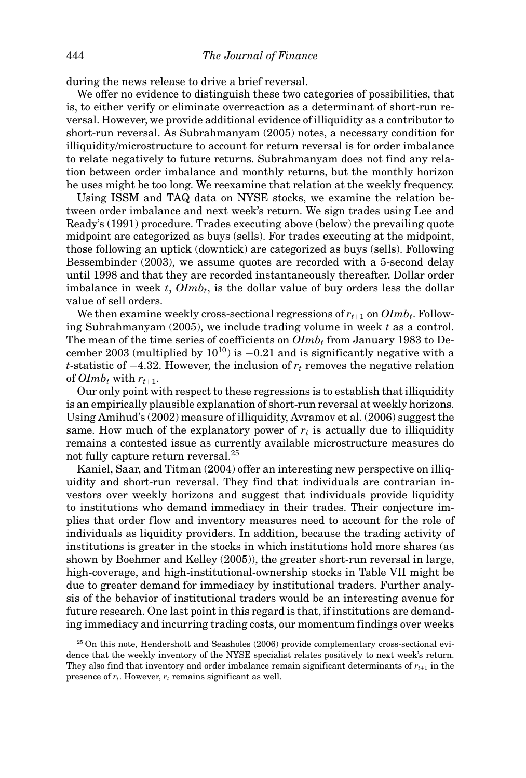during the news release to drive a brief reversal.

We offer no evidence to distinguish these two categories of possibilities, that is, to either verify or eliminate overreaction as a determinant of short-run reversal. However, we provide additional evidence of illiquidity as a contributor to short-run reversal. As Subrahmanyam (2005) notes, a necessary condition for illiquidity/microstructure to account for return reversal is for order imbalance to relate negatively to future returns. Subrahmanyam does not find any relation between order imbalance and monthly returns, but the monthly horizon he uses might be too long. We reexamine that relation at the weekly frequency.

Using ISSM and TAQ data on NYSE stocks, we examine the relation between order imbalance and next week's return. We sign trades using Lee and Ready's (1991) procedure. Trades executing above (below) the prevailing quote midpoint are categorized as buys (sells). For trades executing at the midpoint, those following an uptick (downtick) are categorized as buys (sells). Following Bessembinder (2003), we assume quotes are recorded with a 5-second delay until 1998 and that they are recorded instantaneously thereafter. Dollar order imbalance in week  $t$ ,  $OImb_t$ , is the dollar value of buy orders less the dollar value of sell orders.

We then examine weekly cross-sectional regressions of  $r_{t+1}$  on  $OImb_t$ . Following Subrahmanyam (2005), we include trading volume in week *t* as a control. The mean of the time series of coefficients on  $OImb_t$  from January 1983 to December 2003 (multiplied by  $10^{10}$ ) is  $-0.21$  and is significantly negative with a *t*-statistic of  $-4.32$ . However, the inclusion of  $r_t$  removes the negative relation of  $OImb_t$  with  $r_{t+1}$ .

Our only point with respect to these regressions is to establish that illiquidity is an empirically plausible explanation of short-run reversal at weekly horizons. Using Amihud's (2002) measure of illiquidity, Avramov et al. (2006) suggest the same. How much of the explanatory power of  $r_t$  is actually due to illiquidity remains a contested issue as currently available microstructure measures do not fully capture return reversal.25

Kaniel, Saar, and Titman (2004) offer an interesting new perspective on illiquidity and short-run reversal. They find that individuals are contrarian investors over weekly horizons and suggest that individuals provide liquidity to institutions who demand immediacy in their trades. Their conjecture implies that order flow and inventory measures need to account for the role of individuals as liquidity providers. In addition, because the trading activity of institutions is greater in the stocks in which institutions hold more shares (as shown by Boehmer and Kelley (2005)), the greater short-run reversal in large, high-coverage, and high-institutional-ownership stocks in Table VII might be due to greater demand for immediacy by institutional traders. Further analysis of the behavior of institutional traders would be an interesting avenue for future research. One last point in this regard is that, if institutions are demanding immediacy and incurring trading costs, our momentum findings over weeks

<sup>&</sup>lt;sup>25</sup> On this note, Hendershott and Seasholes (2006) provide complementary cross-sectional evidence that the weekly inventory of the NYSE specialist relates positively to next week's return. They also find that inventory and order imbalance remain significant determinants of  $r_{t+1}$  in the presence of  $r_t$ . However,  $r_t$  remains significant as well.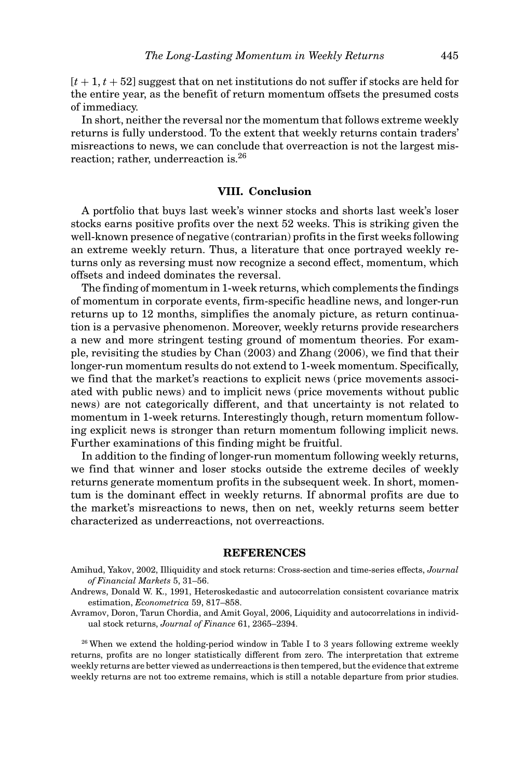[*t* + 1, *t* + 52] suggest that on net institutions do not suffer if stocks are held for the entire year, as the benefit of return momentum offsets the presumed costs of immediacy.

In short, neither the reversal nor the momentum that follows extreme weekly returns is fully understood. To the extent that weekly returns contain traders' misreactions to news, we can conclude that overreaction is not the largest misreaction; rather, underreaction is.<sup>26</sup>

# **VIII. Conclusion**

A portfolio that buys last week's winner stocks and shorts last week's loser stocks earns positive profits over the next 52 weeks. This is striking given the well-known presence of negative (contrarian) profits in the first weeks following an extreme weekly return. Thus, a literature that once portrayed weekly returns only as reversing must now recognize a second effect, momentum, which offsets and indeed dominates the reversal.

The finding of momentum in 1-week returns, which complements the findings of momentum in corporate events, firm-specific headline news, and longer-run returns up to 12 months, simplifies the anomaly picture, as return continuation is a pervasive phenomenon. Moreover, weekly returns provide researchers a new and more stringent testing ground of momentum theories. For example, revisiting the studies by Chan (2003) and Zhang (2006), we find that their longer-run momentum results do not extend to 1-week momentum. Specifically, we find that the market's reactions to explicit news (price movements associated with public news) and to implicit news (price movements without public news) are not categorically different, and that uncertainty is not related to momentum in 1-week returns. Interestingly though, return momentum following explicit news is stronger than return momentum following implicit news. Further examinations of this finding might be fruitful.

In addition to the finding of longer-run momentum following weekly returns, we find that winner and loser stocks outside the extreme deciles of weekly returns generate momentum profits in the subsequent week. In short, momentum is the dominant effect in weekly returns. If abnormal profits are due to the market's misreactions to news, then on net, weekly returns seem better characterized as underreactions, not overreactions.

### **REFERENCES**

Amihud, Yakov, 2002, Illiquidity and stock returns: Cross-section and time-series effects, *Journal of Financial Markets* 5, 31–56.

Andrews, Donald W. K., 1991, Heteroskedastic and autocorrelation consistent covariance matrix estimation, *Econometrica* 59, 817–858.

Avramov, Doron, Tarun Chordia, and Amit Goyal, 2006, Liquidity and autocorrelations in individual stock returns, *Journal of Finance* 61, 2365–2394.

 $26$  When we extend the holding-period window in Table I to 3 years following extreme weekly returns, profits are no longer statistically different from zero. The interpretation that extreme weekly returns are better viewed as underreactions is then tempered, but the evidence that extreme weekly returns are not too extreme remains, which is still a notable departure from prior studies.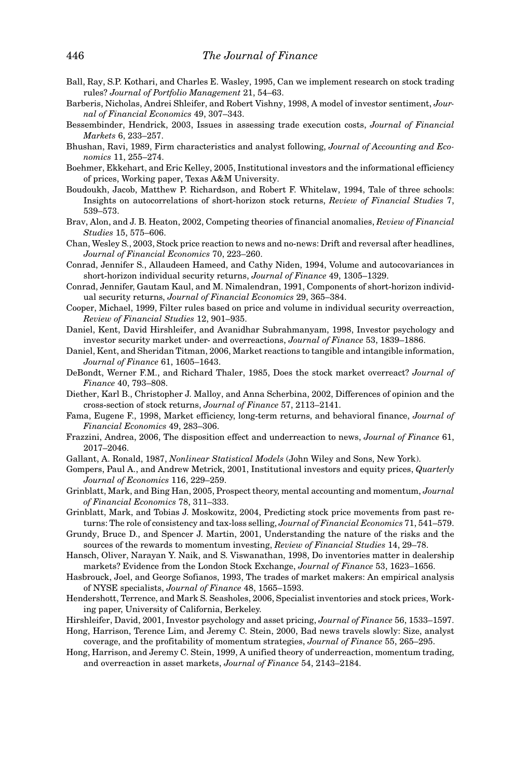- Ball, Ray, S.P. Kothari, and Charles E. Wasley, 1995, Can we implement research on stock trading rules? *Journal of Portfolio Management* 21, 54–63.
- Barberis, Nicholas, Andrei Shleifer, and Robert Vishny, 1998, A model of investor sentiment, *Journal of Financial Economics* 49, 307–343.
- Bessembinder, Hendrick, 2003, Issues in assessing trade execution costs, *Journal of Financial Markets* 6, 233–257.
- Bhushan, Ravi, 1989, Firm characteristics and analyst following, *Journal of Accounting and Economics* 11, 255–274.
- Boehmer, Ekkehart, and Eric Kelley, 2005, Institutional investors and the informational efficiency of prices, Working paper, Texas A&M University.
- Boudoukh, Jacob, Matthew P. Richardson, and Robert F. Whitelaw, 1994, Tale of three schools: Insights on autocorrelations of short-horizon stock returns, *Review of Financial Studies* 7, 539–573.
- Brav, Alon, and J. B. Heaton, 2002, Competing theories of financial anomalies, *Review of Financial Studies* 15, 575–606.
- Chan, Wesley S., 2003, Stock price reaction to news and no-news: Drift and reversal after headlines, *Journal of Financial Economics* 70, 223–260.
- Conrad, Jennifer S., Allaudeen Hameed, and Cathy Niden, 1994, Volume and autocovariances in short-horizon individual security returns, *Journal of Finance* 49, 1305–1329.
- Conrad, Jennifer, Gautam Kaul, and M. Nimalendran, 1991, Components of short-horizon individual security returns, *Journal of Financial Economics* 29, 365–384.
- Cooper, Michael, 1999, Filter rules based on price and volume in individual security overreaction, *Review of Financial Studies* 12, 901–935.
- Daniel, Kent, David Hirshleifer, and Avanidhar Subrahmanyam, 1998, Investor psychology and investor security market under- and overreactions, *Journal of Finance* 53, 1839–1886.
- Daniel, Kent, and Sheridan Titman, 2006, Market reactions to tangible and intangible information, *Journal of Finance* 61, 1605–1643.
- DeBondt, Werner F.M., and Richard Thaler, 1985, Does the stock market overreact? *Journal of Finance* 40, 793–808.
- Diether, Karl B., Christopher J. Malloy, and Anna Scherbina, 2002, Differences of opinion and the cross-section of stock returns, *Journal of Finance* 57, 2113–2141.
- Fama, Eugene F., 1998, Market efficiency, long-term returns, and behavioral finance, *Journal of Financial Economics* 49, 283–306.
- Frazzini, Andrea, 2006, The disposition effect and underreaction to news, *Journal of Finance* 61, 2017–2046.
- Gallant, A. Ronald, 1987, *Nonlinear Statistical Models* (John Wiley and Sons, New York).
- Gompers, Paul A., and Andrew Metrick, 2001, Institutional investors and equity prices, *Quarterly Journal of Economics* 116, 229–259.
- Grinblatt, Mark, and Bing Han, 2005, Prospect theory, mental accounting and momentum, *Journal of Financial Economics* 78, 311–333.
- Grinblatt, Mark, and Tobias J. Moskowitz, 2004, Predicting stock price movements from past returns: The role of consistency and tax-loss selling, *Journal of Financial Economics* 71, 541–579.
- Grundy, Bruce D., and Spencer J. Martin, 2001, Understanding the nature of the risks and the sources of the rewards to momentum investing, *Review of Financial Studies* 14, 29–78.
- Hansch, Oliver, Narayan Y. Naik, and S. Viswanathan, 1998, Do inventories matter in dealership markets? Evidence from the London Stock Exchange, *Journal of Finance* 53, 1623–1656.
- Hasbrouck, Joel, and George Sofianos, 1993, The trades of market makers: An empirical analysis of NYSE specialists, *Journal of Finance* 48, 1565–1593.
- Hendershott, Terrence, and Mark S. Seasholes, 2006, Specialist inventories and stock prices, Working paper, University of California, Berkeley.
- Hirshleifer, David, 2001, Investor psychology and asset pricing, *Journal of Finance* 56, 1533–1597.
- Hong, Harrison, Terence Lim, and Jeremy C. Stein, 2000, Bad news travels slowly: Size, analyst coverage, and the profitability of momentum strategies, *Journal of Finance* 55, 265–295.
- Hong, Harrison, and Jeremy C. Stein, 1999, A unified theory of underreaction, momentum trading, and overreaction in asset markets, *Journal of Finance* 54, 2143–2184.